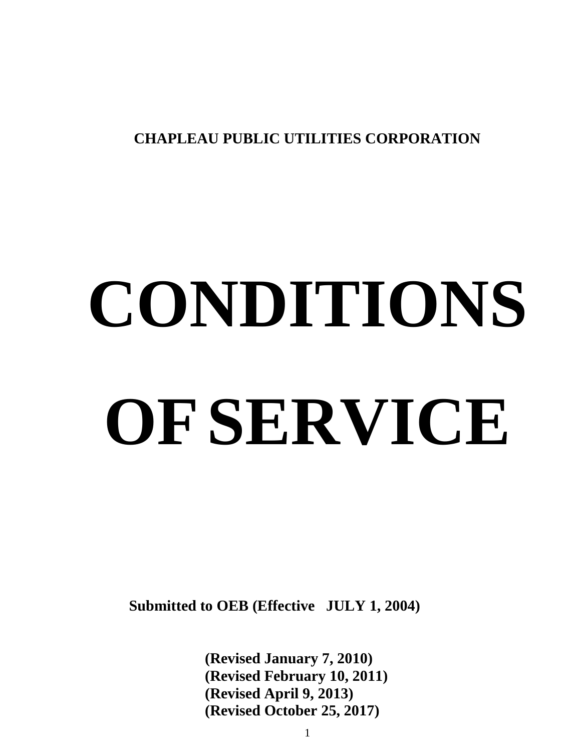**CHAPLEAU PUBLIC UTILITIES CORPORATION**

# **CONDITIONS OFSERVICE**

 **Submitted to OEB (Effective JULY 1, 2004)**

**(Revised January 7, 2010) (Revised February 10, 2011) (Revised April 9, 2013) (Revised October 25, 2017)**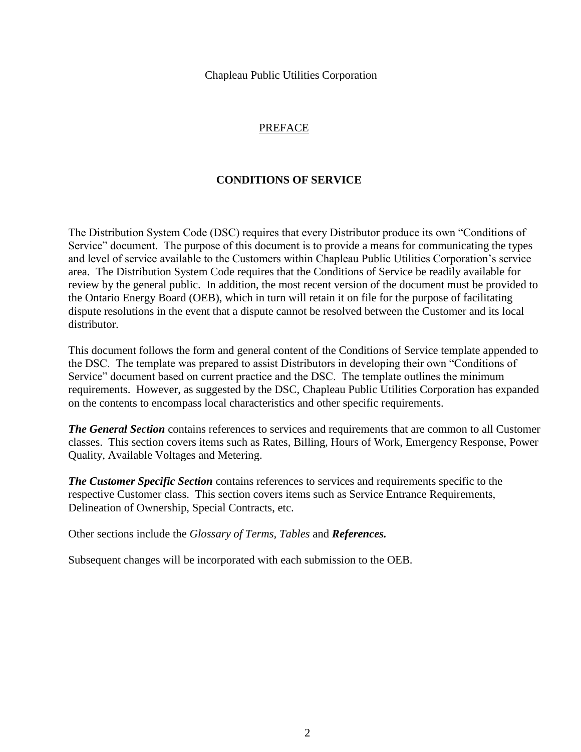Chapleau Public Utilities Corporation

## PREFACE

## **CONDITIONS OF SERVICE**

The Distribution System Code (DSC) requires that every Distributor produce its own "Conditions of Service" document. The purpose of this document is to provide a means for communicating the types and level of service available to the Customers within Chapleau Public Utilities Corporation's service area. The Distribution System Code requires that the Conditions of Service be readily available for review by the general public. In addition, the most recent version of the document must be provided to the Ontario Energy Board (OEB), which in turn will retain it on file for the purpose of facilitating dispute resolutions in the event that a dispute cannot be resolved between the Customer and its local distributor.

This document follows the form and general content of the Conditions of Service template appended to the DSC. The template was prepared to assist Distributors in developing their own "Conditions of Service" document based on current practice and the DSC. The template outlines the minimum requirements. However, as suggested by the DSC, Chapleau Public Utilities Corporation has expanded on the contents to encompass local characteristics and other specific requirements.

*The General Section* contains references to services and requirements that are common to all Customer classes. This section covers items such as Rates, Billing, Hours of Work, Emergency Response, Power Quality, Available Voltages and Metering.

*The Customer Specific Section* contains references to services and requirements specific to the respective Customer class. This section covers items such as Service Entrance Requirements, Delineation of Ownership, Special Contracts, etc.

Other sections include the *Glossary of Terms, Tables* and *References.*

Subsequent changes will be incorporated with each submission to the OEB.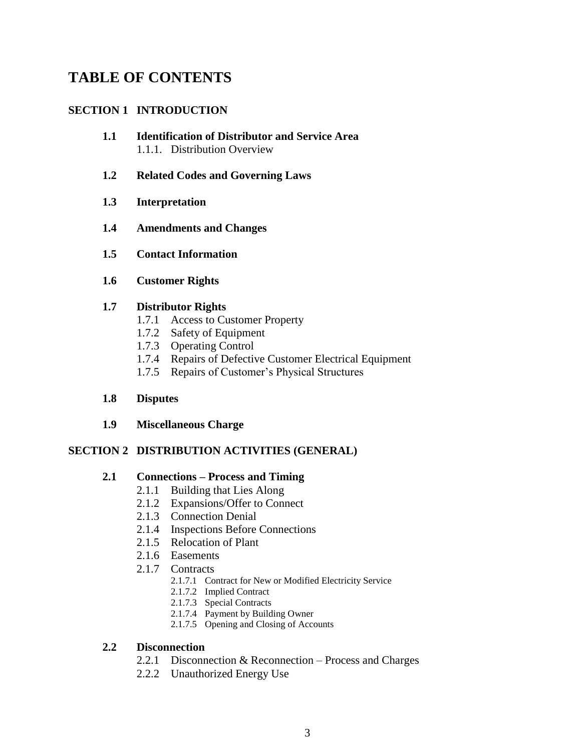# **TABLE OF CONTENTS**

## **SECTION 1 INTRODUCTION**

- **1.1 Identification of Distributor and Service Area** 1.1.1. Distribution Overview
- **1.2 Related Codes and Governing Laws**
- **1.3 Interpretation**
- **1.4 Amendments and Changes**
- **1.5 Contact Information**
- **1.6 Customer Rights**

#### **1.7 Distributor Rights**

- 1.7.1 Access to Customer Property
- 1.7.2 Safety of Equipment
- 1.7.3 Operating Control
- 1.7.4 Repairs of Defective Customer Electrical Equipment
- 1.7.5 Repairs of Customer's Physical Structures

#### **1.8 Disputes**

**1.9 Miscellaneous Charge**

#### **SECTION 2 DISTRIBUTION ACTIVITIES (GENERAL)**

#### **2.1 Connections – Process and Timing**

- 2.1.1 Building that Lies Along
- 2.1.2 Expansions/Offer to Connect
- 2.1.3 Connection Denial
- 2.1.4 Inspections Before Connections
- 2.1.5 Relocation of Plant
- 2.1.6 Easements
- 2.1.7 Contracts
	- 2.1.7.1 Contract for New or Modified Electricity Service
	- 2.1.7.2 Implied Contract
	- 2.1.7.3 Special Contracts
	- 2.1.7.4 Payment by Building Owner
	- 2.1.7.5 Opening and Closing of Accounts

#### **2.2 Disconnection**

- 2.2.1 Disconnection & Reconnection Process and Charges
- 2.2.2 Unauthorized Energy Use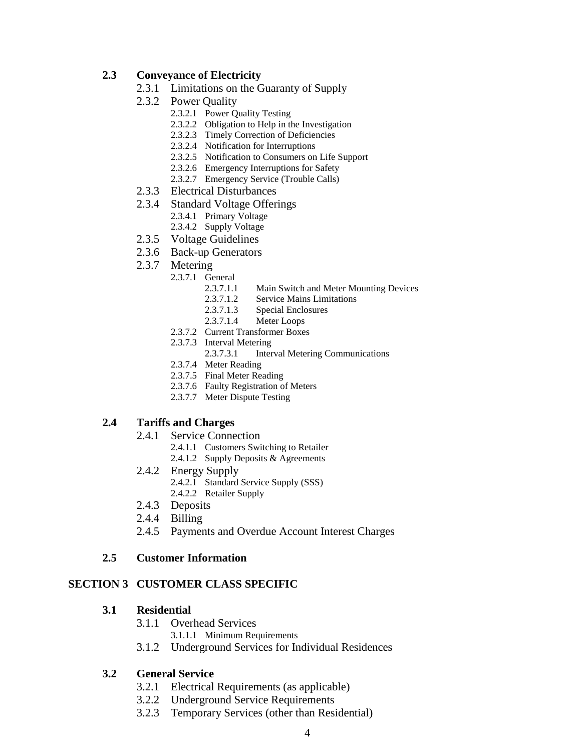#### **2.3 Conveyance of Electricity**

- 2.3.1 Limitations on the Guaranty of Supply
- 2.3.2 Power Quality
	- 2.3.2.1 Power Quality Testing
	- 2.3.2.2 Obligation to Help in the Investigation
	- 2.3.2.3 Timely Correction of Deficiencies
	- 2.3.2.4 Notification for Interruptions
	- 2.3.2.5 Notification to Consumers on Life Support
	- 2.3.2.6 Emergency Interruptions for Safety
	- 2.3.2.7 Emergency Service (Trouble Calls)
- 2.3.3 Electrical Disturbances
- 2.3.4 Standard Voltage Offerings
	- 2.3.4.1 Primary Voltage
	- 2.3.4.2 Supply Voltage
- 2.3.5 Voltage Guidelines
- 2.3.6 Back-up Generators
- 2.3.7 Metering
	- 2.3.7.1 General
		- 2.3.7.1.1 Main Switch and Meter Mounting Devices
		- 2.3.7.1.2 Service Mains Limitations
		- 2.3.7.1.3 Special Enclosures
		- 2.3.7.1.4 Meter Loops
		- 2.3.7.2 Current Transformer Boxes
		- 2.3.7.3 Interval Metering
			- 2.3.7.3.1 Interval Metering Communications
		- 2.3.7.4 Meter Reading
		- 2.3.7.5 Final Meter Reading
		- 2.3.7.6 Faulty Registration of Meters
		- 2.3.7.7 Meter Dispute Testing

#### **2.4 Tariffs and Charges**

- 2.4.1 Service Connection
	- 2.4.1.1 Customers Switching to Retailer
	- 2.4.1.2 Supply Deposits & Agreements
- 2.4.2 Energy Supply
	- 2.4.2.1 Standard Service Supply (SSS)
		- 2.4.2.2 Retailer Supply
- 2.4.3 Deposits
- 2.4.4 Billing
- 2.4.5 Payments and Overdue Account Interest Charges

#### **2.5 Customer Information**

#### **SECTION 3 CUSTOMER CLASS SPECIFIC**

#### **3.1 Residential**

- 3.1.1 Overhead Services
	- 3.1.1.1 Minimum Requirements
- 3.1.2 Underground Services for Individual Residences

#### **3.2 General Service**

- 3.2.1 Electrical Requirements (as applicable)
- 3.2.2 Underground Service Requirements
- 3.2.3 Temporary Services (other than Residential)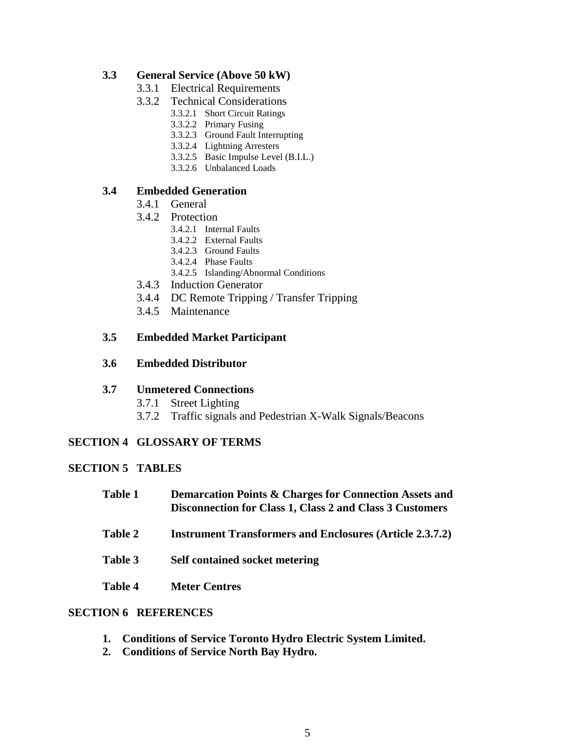#### **3.3 General Service (Above 50 kW)**

- 3.3.1 Electrical Requirements
- 3.3.2 Technical Considerations
	- 3.3.2.1 Short Circuit Ratings
		- 3.3.2.2 Primary Fusing
		- 3.3.2.3 Ground Fault Interrupting
		- 3.3.2.4 Lightning Arresters
		- 3.3.2.5 Basic Impulse Level (B.I.L.)
		- 3.3.2.6 Unbalanced Loads

#### **3.4 Embedded Generation**

- 3.4.1 General
- 3.4.2 Protection
	- 3.4.2.1 Internal Faults
	- 3.4.2.2 External Faults
	- 3.4.2.3 Ground Faults
	- 3.4.2.4 Phase Faults
	- 3.4.2.5 Islanding/Abnormal Conditions
- 3.4.3 Induction Generator
- 3.4.4 DC Remote Tripping / Transfer Tripping
- 3.4.5 Maintenance

#### **3.5 Embedded Market Participant**

#### **3.6 Embedded Distributor**

#### **3.7 Unmetered Connections**

- 3.7.1 Street Lighting
- 3.7.2 Traffic signals and Pedestrian X-Walk Signals/Beacons

#### **SECTION 4 GLOSSARY OF TERMS**

#### **SECTION 5 TABLES**

- **Table 1 Demarcation Points & Charges for Connection Assets and Disconnection for Class 1, Class 2 and Class 3 Customers**
- **Table 2 Instrument Transformers and Enclosures (Article 2.3.7.2)**
- **Table 3 Self contained socket metering**
- **Table 4 Meter Centres**

#### **SECTION 6 REFERENCES**

- **1. Conditions of Service Toronto Hydro Electric System Limited.**
- **2. Conditions of Service North Bay Hydro.**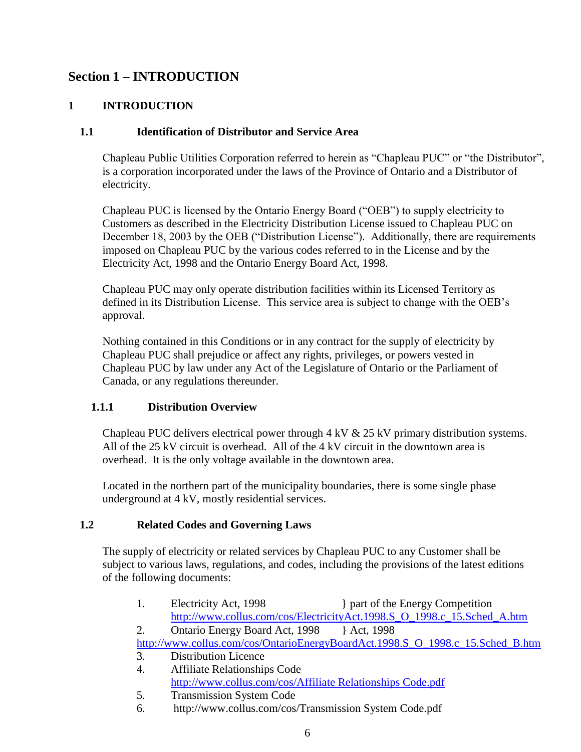## **Section 1 – INTRODUCTION**

#### **1 INTRODUCTION**

#### **1.1 Identification of Distributor and Service Area**

Chapleau Public Utilities Corporation referred to herein as "Chapleau PUC" or "the Distributor", is a corporation incorporated under the laws of the Province of Ontario and a Distributor of electricity.

Chapleau PUC is licensed by the Ontario Energy Board ("OEB") to supply electricity to Customers as described in the Electricity Distribution License issued to Chapleau PUC on December 18, 2003 by the OEB ("Distribution License"). Additionally, there are requirements imposed on Chapleau PUC by the various codes referred to in the License and by the Electricity Act, 1998 and the Ontario Energy Board Act, 1998.

Chapleau PUC may only operate distribution facilities within its Licensed Territory as defined in its Distribution License. This service area is subject to change with the OEB's approval.

Nothing contained in this Conditions or in any contract for the supply of electricity by Chapleau PUC shall prejudice or affect any rights, privileges, or powers vested in Chapleau PUC by law under any Act of the Legislature of Ontario or the Parliament of Canada, or any regulations thereunder.

#### **1.1.1 Distribution Overview**

Chapleau PUC delivers electrical power through 4 kV & 25 kV primary distribution systems. All of the 25 kV circuit is overhead. All of the 4 kV circuit in the downtown area is overhead. It is the only voltage available in the downtown area.

Located in the northern part of the municipality boundaries, there is some single phase underground at 4 kV, mostly residential services.

#### **1.2 Related Codes and Governing Laws**

The supply of electricity or related services by Chapleau PUC to any Customer shall be subject to various laws, regulations, and codes, including the provisions of the latest editions of the following documents:

- 1. Electricity Act, 1998 } part of the Energy Competition [http://www.collus.com/cos/ElectricityAct.1998.S\\_O\\_1998.c\\_15.Sched\\_A.htm](http://www.collus.com/cos/ElectricityAct.1998.S_O_1998.c_15.Sched_A.htm)
- 2. Ontario Energy Board Act, 1998 } Act, 1998

[http://www.collus.com/cos/OntarioEnergyBoardAct.1998.S\\_O\\_1998.c\\_15.Sched\\_B.htm](http://www.collus.com/cos/OntarioEnergyBoardAct.1998.S_O_1998.c_15.Sched_B.htm)

- 3. Distribution Licence
- 4. Affiliate Relationships Code [http://www.collus.com/cos/Affiliate Relationships Code.pdf](http://www.collus.com/cos/Affiliate%20Relationships%20Code.pdf)
- 5. Transmission System Code
- 6. http://www.collus.com/cos/Transmission System Code.pdf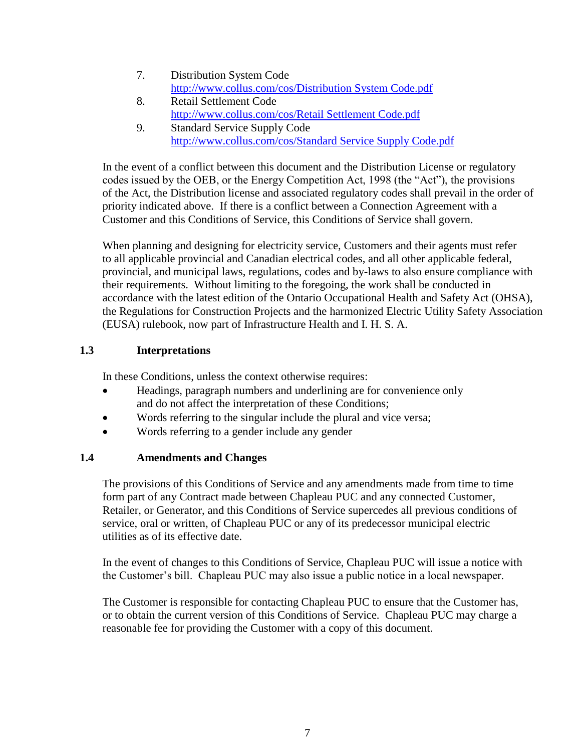- 7. Distribution System Code [http://www.collus.com/cos/Distribution System Code.pdf](http://www.collus.com/cos/Distribution%20System%20Code.pdf)
- 8. Retail Settlement Code [http://www.collus.com/cos/Retail Settlement Code.pdf](http://www.collus.com/cos/Retail%20Settlement%20Code.pdf)
- 9. Standard Service Supply Code [http://www.collus.com/cos/Standard Service Supply Code.pdf](http://www.collus.com/cos/Standard%20Service%20Supply%20Code.pdf)

In the event of a conflict between this document and the Distribution License or regulatory codes issued by the OEB, or the Energy Competition Act, 1998 (the "Act"), the provisions of the Act, the Distribution license and associated regulatory codes shall prevail in the order of priority indicated above. If there is a conflict between a Connection Agreement with a Customer and this Conditions of Service, this Conditions of Service shall govern.

When planning and designing for electricity service, Customers and their agents must refer to all applicable provincial and Canadian electrical codes, and all other applicable federal, provincial, and municipal laws, regulations, codes and by-laws to also ensure compliance with their requirements. Without limiting to the foregoing, the work shall be conducted in accordance with the latest edition of the Ontario Occupational Health and Safety Act (OHSA), the Regulations for Construction Projects and the harmonized Electric Utility Safety Association (EUSA) rulebook, now part of Infrastructure Health and I. H. S. A.

## **1.3 Interpretations**

In these Conditions, unless the context otherwise requires:

- Headings, paragraph numbers and underlining are for convenience only and do not affect the interpretation of these Conditions;
- Words referring to the singular include the plural and vice versa;
- Words referring to a gender include any gender

#### **1.4 Amendments and Changes**

The provisions of this Conditions of Service and any amendments made from time to time form part of any Contract made between Chapleau PUC and any connected Customer, Retailer, or Generator, and this Conditions of Service supercedes all previous conditions of service, oral or written, of Chapleau PUC or any of its predecessor municipal electric utilities as of its effective date.

In the event of changes to this Conditions of Service, Chapleau PUC will issue a notice with the Customer's bill. Chapleau PUC may also issue a public notice in a local newspaper.

The Customer is responsible for contacting Chapleau PUC to ensure that the Customer has, or to obtain the current version of this Conditions of Service. Chapleau PUC may charge a reasonable fee for providing the Customer with a copy of this document.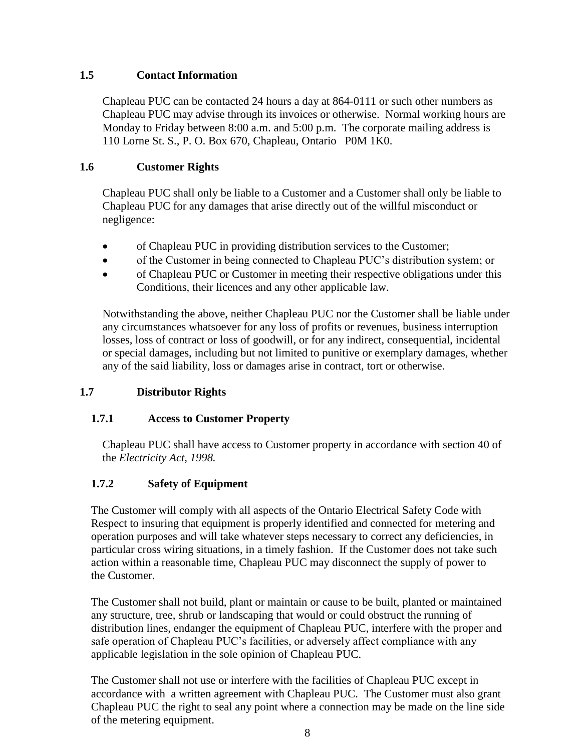## **1.5 Contact Information**

Chapleau PUC can be contacted 24 hours a day at 864-0111 or such other numbers as Chapleau PUC may advise through its invoices or otherwise. Normal working hours are Monday to Friday between 8:00 a.m. and 5:00 p.m. The corporate mailing address is 110 Lorne St. S., P. O. Box 670, Chapleau, Ontario P0M 1K0.

## **1.6 Customer Rights**

Chapleau PUC shall only be liable to a Customer and a Customer shall only be liable to Chapleau PUC for any damages that arise directly out of the willful misconduct or negligence:

- of Chapleau PUC in providing distribution services to the Customer;
- of the Customer in being connected to Chapleau PUC's distribution system; or
- of Chapleau PUC or Customer in meeting their respective obligations under this Conditions, their licences and any other applicable law.

Notwithstanding the above, neither Chapleau PUC nor the Customer shall be liable under any circumstances whatsoever for any loss of profits or revenues, business interruption losses, loss of contract or loss of goodwill, or for any indirect, consequential, incidental or special damages, including but not limited to punitive or exemplary damages, whether any of the said liability, loss or damages arise in contract, tort or otherwise.

## **1.7 Distributor Rights**

## **1.7.1 Access to Customer Property**

Chapleau PUC shall have access to Customer property in accordance with section 40 of the *Electricity Act, 1998.*

## **1.7.2 Safety of Equipment**

The Customer will comply with all aspects of the Ontario Electrical Safety Code with Respect to insuring that equipment is properly identified and connected for metering and operation purposes and will take whatever steps necessary to correct any deficiencies, in particular cross wiring situations, in a timely fashion. If the Customer does not take such action within a reasonable time, Chapleau PUC may disconnect the supply of power to the Customer.

The Customer shall not build, plant or maintain or cause to be built, planted or maintained any structure, tree, shrub or landscaping that would or could obstruct the running of distribution lines, endanger the equipment of Chapleau PUC, interfere with the proper and safe operation of Chapleau PUC's facilities, or adversely affect compliance with any applicable legislation in the sole opinion of Chapleau PUC.

The Customer shall not use or interfere with the facilities of Chapleau PUC except in accordance with a written agreement with Chapleau PUC. The Customer must also grant Chapleau PUC the right to seal any point where a connection may be made on the line side of the metering equipment.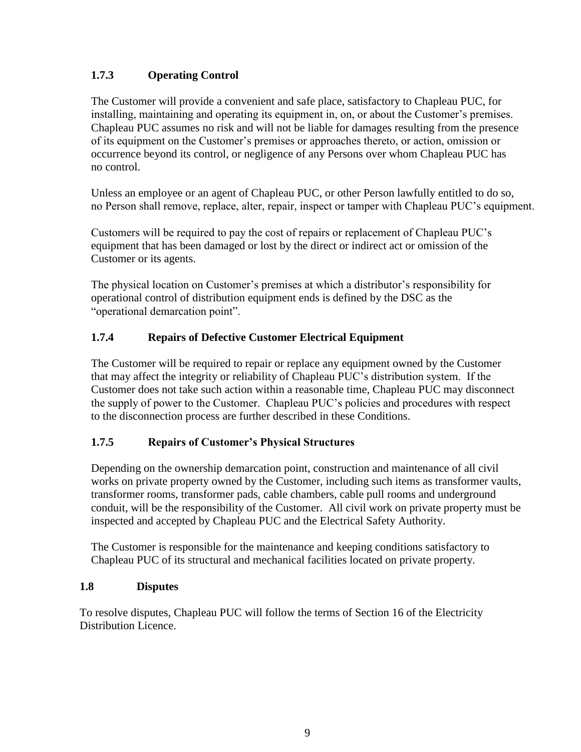## **1.7.3 Operating Control**

The Customer will provide a convenient and safe place, satisfactory to Chapleau PUC, for installing, maintaining and operating its equipment in, on, or about the Customer's premises. Chapleau PUC assumes no risk and will not be liable for damages resulting from the presence of its equipment on the Customer's premises or approaches thereto, or action, omission or occurrence beyond its control, or negligence of any Persons over whom Chapleau PUC has no control.

Unless an employee or an agent of Chapleau PUC, or other Person lawfully entitled to do so, no Person shall remove, replace, alter, repair, inspect or tamper with Chapleau PUC's equipment.

Customers will be required to pay the cost of repairs or replacement of Chapleau PUC's equipment that has been damaged or lost by the direct or indirect act or omission of the Customer or its agents.

The physical location on Customer's premises at which a distributor's responsibility for operational control of distribution equipment ends is defined by the DSC as the "operational demarcation point".

## **1.7.4 Repairs of Defective Customer Electrical Equipment**

The Customer will be required to repair or replace any equipment owned by the Customer that may affect the integrity or reliability of Chapleau PUC's distribution system. If the Customer does not take such action within a reasonable time, Chapleau PUC may disconnect the supply of power to the Customer. Chapleau PUC's policies and procedures with respect to the disconnection process are further described in these Conditions.

## **1.7.5 Repairs of Customer's Physical Structures**

Depending on the ownership demarcation point, construction and maintenance of all civil works on private property owned by the Customer, including such items as transformer vaults, transformer rooms, transformer pads, cable chambers, cable pull rooms and underground conduit, will be the responsibility of the Customer. All civil work on private property must be inspected and accepted by Chapleau PUC and the Electrical Safety Authority.

The Customer is responsible for the maintenance and keeping conditions satisfactory to Chapleau PUC of its structural and mechanical facilities located on private property.

#### **1.8 Disputes**

To resolve disputes, Chapleau PUC will follow the terms of Section 16 of the Electricity Distribution Licence.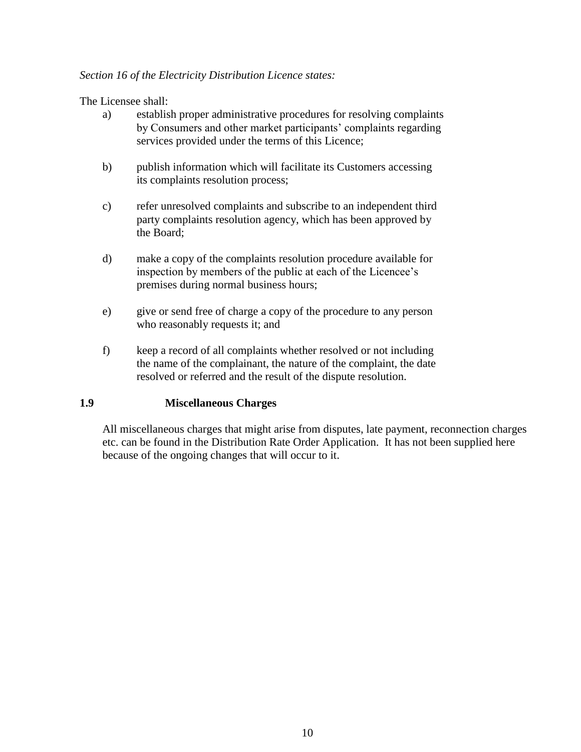#### *Section 16 of the Electricity Distribution Licence states:*

The Licensee shall:

- a) establish proper administrative procedures for resolving complaints by Consumers and other market participants' complaints regarding services provided under the terms of this Licence;
- b) publish information which will facilitate its Customers accessing its complaints resolution process;
- c) refer unresolved complaints and subscribe to an independent third party complaints resolution agency, which has been approved by the Board;
- d) make a copy of the complaints resolution procedure available for inspection by members of the public at each of the Licencee's premises during normal business hours;
- e) give or send free of charge a copy of the procedure to any person who reasonably requests it; and
- f) keep a record of all complaints whether resolved or not including the name of the complainant, the nature of the complaint, the date resolved or referred and the result of the dispute resolution.

#### **1.9 Miscellaneous Charges**

All miscellaneous charges that might arise from disputes, late payment, reconnection charges etc. can be found in the Distribution Rate Order Application. It has not been supplied here because of the ongoing changes that will occur to it.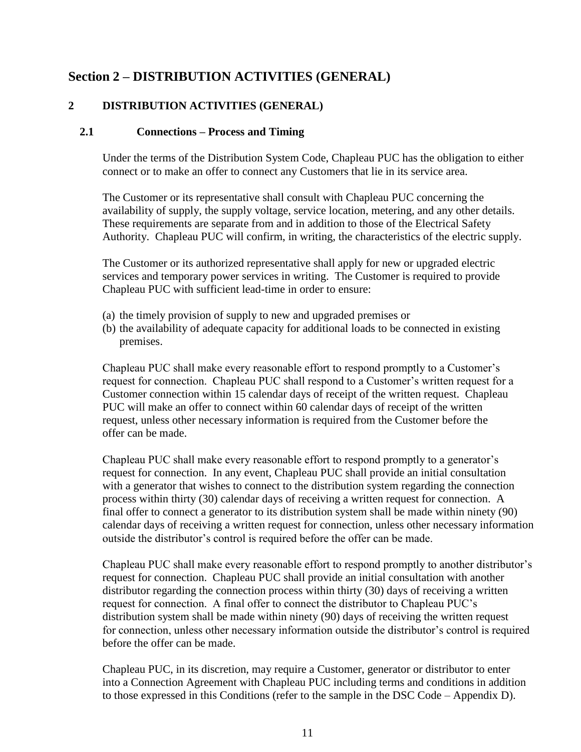## **Section 2 – DISTRIBUTION ACTIVITIES (GENERAL)**

## **2 DISTRIBUTION ACTIVITIES (GENERAL)**

#### **2.1 Connections – Process and Timing**

Under the terms of the Distribution System Code, Chapleau PUC has the obligation to either connect or to make an offer to connect any Customers that lie in its service area.

The Customer or its representative shall consult with Chapleau PUC concerning the availability of supply, the supply voltage, service location, metering, and any other details. These requirements are separate from and in addition to those of the Electrical Safety Authority. Chapleau PUC will confirm, in writing, the characteristics of the electric supply.

The Customer or its authorized representative shall apply for new or upgraded electric services and temporary power services in writing. The Customer is required to provide Chapleau PUC with sufficient lead-time in order to ensure:

- (a) the timely provision of supply to new and upgraded premises or
- (b) the availability of adequate capacity for additional loads to be connected in existing premises.

Chapleau PUC shall make every reasonable effort to respond promptly to a Customer's request for connection. Chapleau PUC shall respond to a Customer's written request for a Customer connection within 15 calendar days of receipt of the written request. Chapleau PUC will make an offer to connect within 60 calendar days of receipt of the written request, unless other necessary information is required from the Customer before the offer can be made.

Chapleau PUC shall make every reasonable effort to respond promptly to a generator's request for connection. In any event, Chapleau PUC shall provide an initial consultation with a generator that wishes to connect to the distribution system regarding the connection process within thirty (30) calendar days of receiving a written request for connection. A final offer to connect a generator to its distribution system shall be made within ninety (90) calendar days of receiving a written request for connection, unless other necessary information outside the distributor's control is required before the offer can be made.

Chapleau PUC shall make every reasonable effort to respond promptly to another distributor's request for connection. Chapleau PUC shall provide an initial consultation with another distributor regarding the connection process within thirty (30) days of receiving a written request for connection. A final offer to connect the distributor to Chapleau PUC's distribution system shall be made within ninety (90) days of receiving the written request for connection, unless other necessary information outside the distributor's control is required before the offer can be made.

Chapleau PUC, in its discretion, may require a Customer, generator or distributor to enter into a Connection Agreement with Chapleau PUC including terms and conditions in addition to those expressed in this Conditions (refer to the sample in the DSC Code – Appendix D).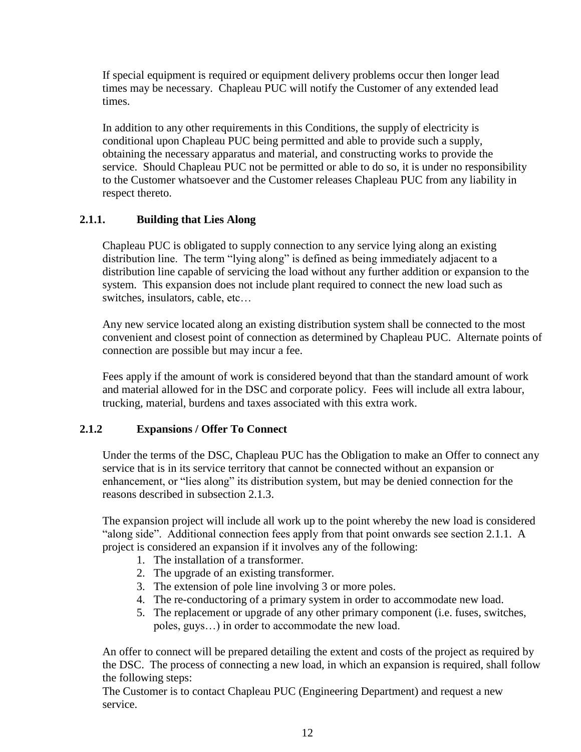If special equipment is required or equipment delivery problems occur then longer lead times may be necessary. Chapleau PUC will notify the Customer of any extended lead times.

In addition to any other requirements in this Conditions, the supply of electricity is conditional upon Chapleau PUC being permitted and able to provide such a supply, obtaining the necessary apparatus and material, and constructing works to provide the service. Should Chapleau PUC not be permitted or able to do so, it is under no responsibility to the Customer whatsoever and the Customer releases Chapleau PUC from any liability in respect thereto.

## **2.1.1. Building that Lies Along**

Chapleau PUC is obligated to supply connection to any service lying along an existing distribution line. The term "lying along" is defined as being immediately adjacent to a distribution line capable of servicing the load without any further addition or expansion to the system. This expansion does not include plant required to connect the new load such as switches, insulators, cable, etc…

Any new service located along an existing distribution system shall be connected to the most convenient and closest point of connection as determined by Chapleau PUC. Alternate points of connection are possible but may incur a fee.

Fees apply if the amount of work is considered beyond that than the standard amount of work and material allowed for in the DSC and corporate policy. Fees will include all extra labour, trucking, material, burdens and taxes associated with this extra work.

#### **2.1.2 Expansions / Offer To Connect**

Under the terms of the DSC, Chapleau PUC has the Obligation to make an Offer to connect any service that is in its service territory that cannot be connected without an expansion or enhancement, or "lies along" its distribution system, but may be denied connection for the reasons described in subsection 2.1.3.

The expansion project will include all work up to the point whereby the new load is considered "along side". Additional connection fees apply from that point onwards see section 2.1.1. A project is considered an expansion if it involves any of the following:

- 1. The installation of a transformer.
- 2. The upgrade of an existing transformer.
- 3. The extension of pole line involving 3 or more poles.
- 4. The re-conductoring of a primary system in order to accommodate new load.
- 5. The replacement or upgrade of any other primary component (i.e. fuses, switches, poles, guys…) in order to accommodate the new load.

An offer to connect will be prepared detailing the extent and costs of the project as required by the DSC. The process of connecting a new load, in which an expansion is required, shall follow the following steps:

The Customer is to contact Chapleau PUC (Engineering Department) and request a new service.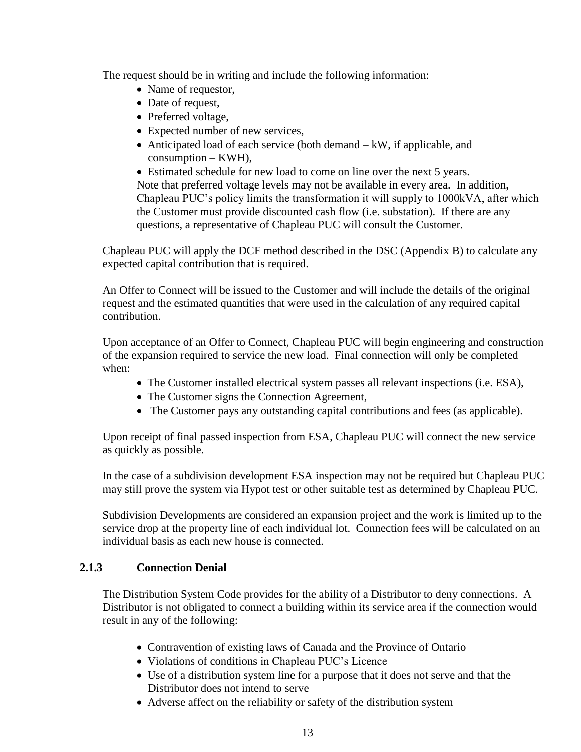The request should be in writing and include the following information:

- Name of requestor,
- Date of request,
- Preferred voltage,
- Expected number of new services,
- Anticipated load of each service (both demand kW, if applicable, and consumption – KWH),

• Estimated schedule for new load to come on line over the next 5 years. Note that preferred voltage levels may not be available in every area. In addition, Chapleau PUC's policy limits the transformation it will supply to 1000kVA, after which the Customer must provide discounted cash flow (i.e. substation). If there are any questions, a representative of Chapleau PUC will consult the Customer.

Chapleau PUC will apply the DCF method described in the DSC (Appendix B) to calculate any expected capital contribution that is required.

An Offer to Connect will be issued to the Customer and will include the details of the original request and the estimated quantities that were used in the calculation of any required capital contribution.

Upon acceptance of an Offer to Connect, Chapleau PUC will begin engineering and construction of the expansion required to service the new load. Final connection will only be completed when:

- The Customer installed electrical system passes all relevant inspections (i.e. ESA),
- The Customer signs the Connection Agreement,
- The Customer pays any outstanding capital contributions and fees (as applicable).

Upon receipt of final passed inspection from ESA, Chapleau PUC will connect the new service as quickly as possible.

In the case of a subdivision development ESA inspection may not be required but Chapleau PUC may still prove the system via Hypot test or other suitable test as determined by Chapleau PUC.

Subdivision Developments are considered an expansion project and the work is limited up to the service drop at the property line of each individual lot. Connection fees will be calculated on an individual basis as each new house is connected.

#### **2.1.3 Connection Denial**

The Distribution System Code provides for the ability of a Distributor to deny connections. A Distributor is not obligated to connect a building within its service area if the connection would result in any of the following:

- Contravention of existing laws of Canada and the Province of Ontario
- Violations of conditions in Chapleau PUC's Licence
- Use of a distribution system line for a purpose that it does not serve and that the Distributor does not intend to serve
- Adverse affect on the reliability or safety of the distribution system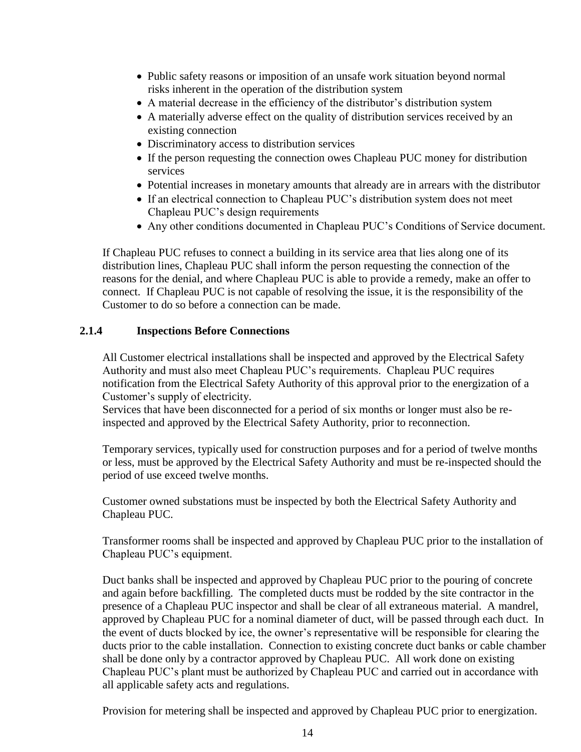- Public safety reasons or imposition of an unsafe work situation beyond normal risks inherent in the operation of the distribution system
- A material decrease in the efficiency of the distributor's distribution system
- A materially adverse effect on the quality of distribution services received by an existing connection
- Discriminatory access to distribution services
- If the person requesting the connection owes Chapleau PUC money for distribution services
- Potential increases in monetary amounts that already are in arrears with the distributor
- If an electrical connection to Chapleau PUC's distribution system does not meet Chapleau PUC's design requirements
- Any other conditions documented in Chapleau PUC's Conditions of Service document.

If Chapleau PUC refuses to connect a building in its service area that lies along one of its distribution lines, Chapleau PUC shall inform the person requesting the connection of the reasons for the denial, and where Chapleau PUC is able to provide a remedy, make an offer to connect. If Chapleau PUC is not capable of resolving the issue, it is the responsibility of the Customer to do so before a connection can be made.

#### **2.1.4 Inspections Before Connections**

All Customer electrical installations shall be inspected and approved by the Electrical Safety Authority and must also meet Chapleau PUC's requirements. Chapleau PUC requires notification from the Electrical Safety Authority of this approval prior to the energization of a Customer's supply of electricity.

Services that have been disconnected for a period of six months or longer must also be reinspected and approved by the Electrical Safety Authority, prior to reconnection.

Temporary services, typically used for construction purposes and for a period of twelve months or less, must be approved by the Electrical Safety Authority and must be re-inspected should the period of use exceed twelve months.

Customer owned substations must be inspected by both the Electrical Safety Authority and Chapleau PUC.

Transformer rooms shall be inspected and approved by Chapleau PUC prior to the installation of Chapleau PUC's equipment.

Duct banks shall be inspected and approved by Chapleau PUC prior to the pouring of concrete and again before backfilling. The completed ducts must be rodded by the site contractor in the presence of a Chapleau PUC inspector and shall be clear of all extraneous material. A mandrel, approved by Chapleau PUC for a nominal diameter of duct, will be passed through each duct. In the event of ducts blocked by ice, the owner's representative will be responsible for clearing the ducts prior to the cable installation. Connection to existing concrete duct banks or cable chamber shall be done only by a contractor approved by Chapleau PUC. All work done on existing Chapleau PUC's plant must be authorized by Chapleau PUC and carried out in accordance with all applicable safety acts and regulations.

Provision for metering shall be inspected and approved by Chapleau PUC prior to energization.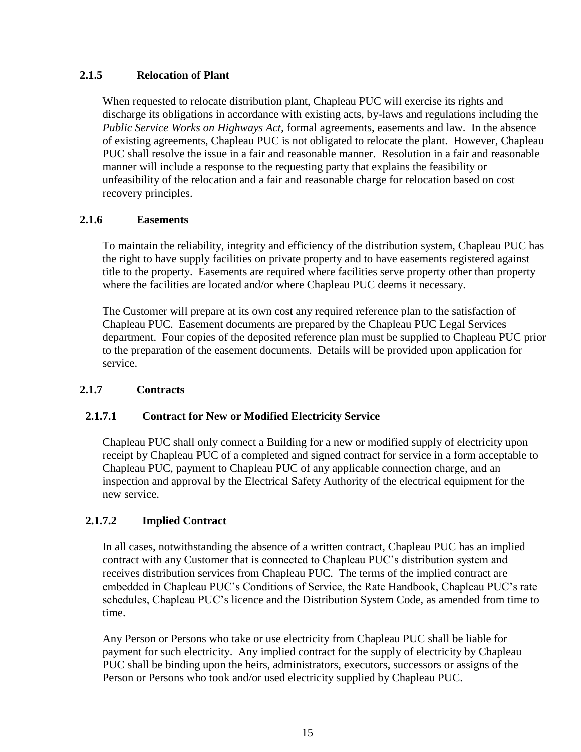## **2.1.5 Relocation of Plant**

When requested to relocate distribution plant, Chapleau PUC will exercise its rights and discharge its obligations in accordance with existing acts, by-laws and regulations including the *Public Service Works on Highways Act,* formal agreements, easements and law. In the absence of existing agreements, Chapleau PUC is not obligated to relocate the plant. However, Chapleau PUC shall resolve the issue in a fair and reasonable manner. Resolution in a fair and reasonable manner will include a response to the requesting party that explains the feasibility or unfeasibility of the relocation and a fair and reasonable charge for relocation based on cost recovery principles.

## **2.1.6 Easements**

To maintain the reliability, integrity and efficiency of the distribution system, Chapleau PUC has the right to have supply facilities on private property and to have easements registered against title to the property. Easements are required where facilities serve property other than property where the facilities are located and/or where Chapleau PUC deems it necessary.

The Customer will prepare at its own cost any required reference plan to the satisfaction of Chapleau PUC. Easement documents are prepared by the Chapleau PUC Legal Services department. Four copies of the deposited reference plan must be supplied to Chapleau PUC prior to the preparation of the easement documents. Details will be provided upon application for service.

#### **2.1.7 Contracts**

## **2.1.7.1 Contract for New or Modified Electricity Service**

Chapleau PUC shall only connect a Building for a new or modified supply of electricity upon receipt by Chapleau PUC of a completed and signed contract for service in a form acceptable to Chapleau PUC, payment to Chapleau PUC of any applicable connection charge, and an inspection and approval by the Electrical Safety Authority of the electrical equipment for the new service.

## **2.1.7.2 Implied Contract**

In all cases, notwithstanding the absence of a written contract, Chapleau PUC has an implied contract with any Customer that is connected to Chapleau PUC's distribution system and receives distribution services from Chapleau PUC. The terms of the implied contract are embedded in Chapleau PUC's Conditions of Service, the Rate Handbook, Chapleau PUC's rate schedules, Chapleau PUC's licence and the Distribution System Code, as amended from time to time.

Any Person or Persons who take or use electricity from Chapleau PUC shall be liable for payment for such electricity. Any implied contract for the supply of electricity by Chapleau PUC shall be binding upon the heirs, administrators, executors, successors or assigns of the Person or Persons who took and/or used electricity supplied by Chapleau PUC.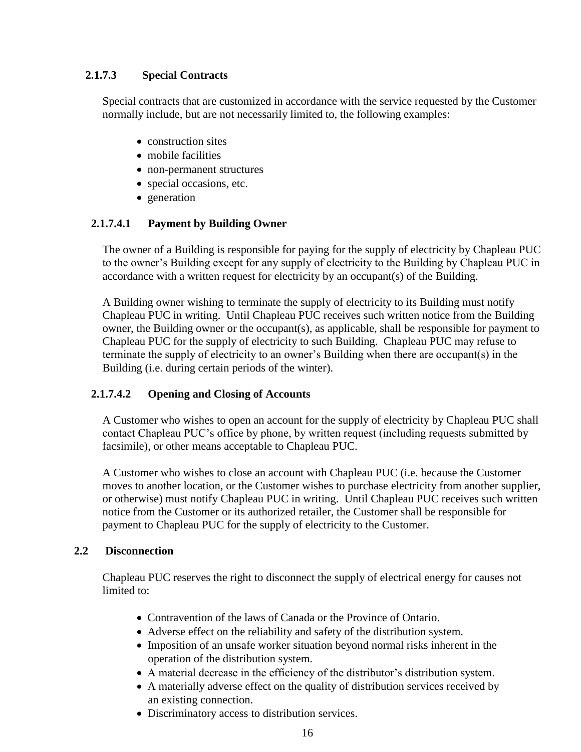## **2.1.7.3 Special Contracts**

Special contracts that are customized in accordance with the service requested by the Customer normally include, but are not necessarily limited to, the following examples:

- construction sites
- mobile facilities
- non-permanent structures
- special occasions, etc.
- generation

## **2.1.7.4.1 Payment by Building Owner**

The owner of a Building is responsible for paying for the supply of electricity by Chapleau PUC to the owner's Building except for any supply of electricity to the Building by Chapleau PUC in accordance with a written request for electricity by an occupant(s) of the Building.

A Building owner wishing to terminate the supply of electricity to its Building must notify Chapleau PUC in writing. Until Chapleau PUC receives such written notice from the Building owner, the Building owner or the occupant(s), as applicable, shall be responsible for payment to Chapleau PUC for the supply of electricity to such Building. Chapleau PUC may refuse to terminate the supply of electricity to an owner's Building when there are occupant(s) in the Building (i.e. during certain periods of the winter).

## **2.1.7.4.2 Opening and Closing of Accounts**

A Customer who wishes to open an account for the supply of electricity by Chapleau PUC shall contact Chapleau PUC's office by phone, by written request (including requests submitted by facsimile), or other means acceptable to Chapleau PUC.

A Customer who wishes to close an account with Chapleau PUC (i.e. because the Customer moves to another location, or the Customer wishes to purchase electricity from another supplier, or otherwise) must notify Chapleau PUC in writing. Until Chapleau PUC receives such written notice from the Customer or its authorized retailer, the Customer shall be responsible for payment to Chapleau PUC for the supply of electricity to the Customer.

#### **2.2 Disconnection**

Chapleau PUC reserves the right to disconnect the supply of electrical energy for causes not limited to:

- Contravention of the laws of Canada or the Province of Ontario.
- Adverse effect on the reliability and safety of the distribution system.
- Imposition of an unsafe worker situation beyond normal risks inherent in the operation of the distribution system.
- A material decrease in the efficiency of the distributor's distribution system.
- A materially adverse effect on the quality of distribution services received by an existing connection.
- Discriminatory access to distribution services.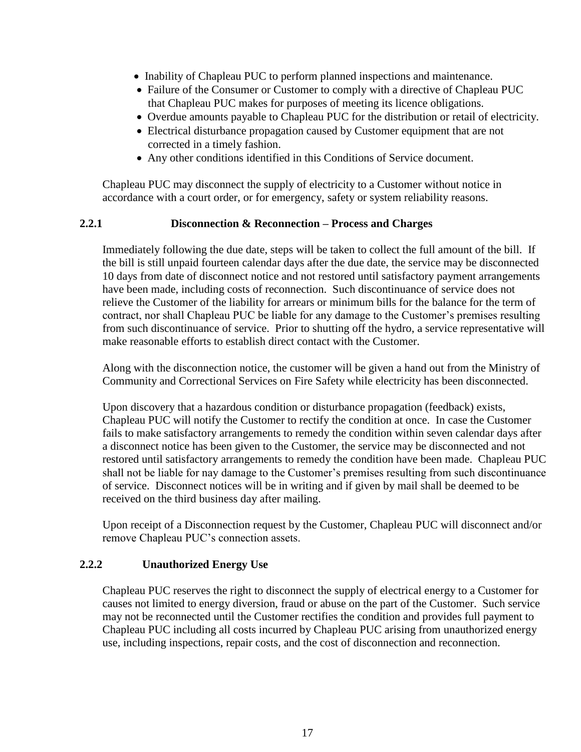- Inability of Chapleau PUC to perform planned inspections and maintenance.
- Failure of the Consumer or Customer to comply with a directive of Chapleau PUC that Chapleau PUC makes for purposes of meeting its licence obligations.
- Overdue amounts payable to Chapleau PUC for the distribution or retail of electricity.
- Electrical disturbance propagation caused by Customer equipment that are not corrected in a timely fashion.
- Any other conditions identified in this Conditions of Service document.

Chapleau PUC may disconnect the supply of electricity to a Customer without notice in accordance with a court order, or for emergency, safety or system reliability reasons.

#### **2.2.1 Disconnection & Reconnection – Process and Charges**

Immediately following the due date, steps will be taken to collect the full amount of the bill. If the bill is still unpaid fourteen calendar days after the due date, the service may be disconnected 10 days from date of disconnect notice and not restored until satisfactory payment arrangements have been made, including costs of reconnection. Such discontinuance of service does not relieve the Customer of the liability for arrears or minimum bills for the balance for the term of contract, nor shall Chapleau PUC be liable for any damage to the Customer's premises resulting from such discontinuance of service. Prior to shutting off the hydro, a service representative will make reasonable efforts to establish direct contact with the Customer.

Along with the disconnection notice, the customer will be given a hand out from the Ministry of Community and Correctional Services on Fire Safety while electricity has been disconnected.

Upon discovery that a hazardous condition or disturbance propagation (feedback) exists, Chapleau PUC will notify the Customer to rectify the condition at once. In case the Customer fails to make satisfactory arrangements to remedy the condition within seven calendar days after a disconnect notice has been given to the Customer, the service may be disconnected and not restored until satisfactory arrangements to remedy the condition have been made. Chapleau PUC shall not be liable for nay damage to the Customer's premises resulting from such discontinuance of service. Disconnect notices will be in writing and if given by mail shall be deemed to be received on the third business day after mailing.

Upon receipt of a Disconnection request by the Customer, Chapleau PUC will disconnect and/or remove Chapleau PUC's connection assets.

#### **2.2.2 Unauthorized Energy Use**

Chapleau PUC reserves the right to disconnect the supply of electrical energy to a Customer for causes not limited to energy diversion, fraud or abuse on the part of the Customer. Such service may not be reconnected until the Customer rectifies the condition and provides full payment to Chapleau PUC including all costs incurred by Chapleau PUC arising from unauthorized energy use, including inspections, repair costs, and the cost of disconnection and reconnection.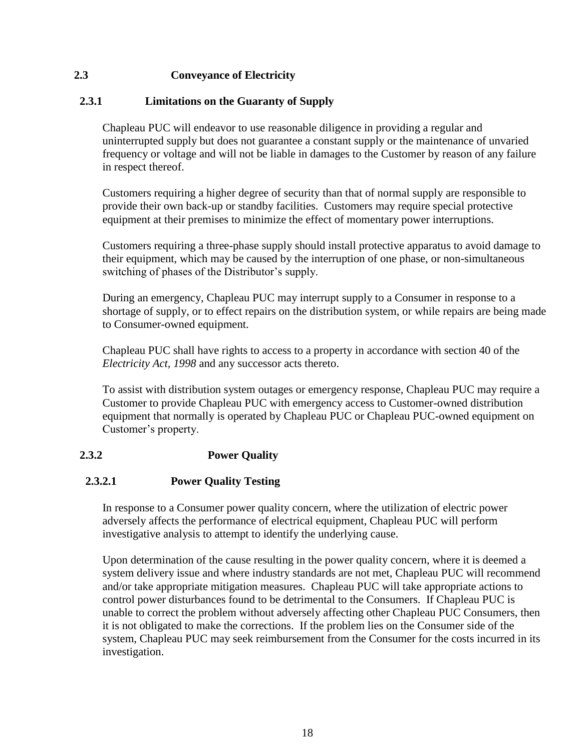## **2.3 Conveyance of Electricity**

#### **2.3.1 Limitations on the Guaranty of Supply**

Chapleau PUC will endeavor to use reasonable diligence in providing a regular and uninterrupted supply but does not guarantee a constant supply or the maintenance of unvaried frequency or voltage and will not be liable in damages to the Customer by reason of any failure in respect thereof.

Customers requiring a higher degree of security than that of normal supply are responsible to provide their own back-up or standby facilities. Customers may require special protective equipment at their premises to minimize the effect of momentary power interruptions.

Customers requiring a three-phase supply should install protective apparatus to avoid damage to their equipment, which may be caused by the interruption of one phase, or non-simultaneous switching of phases of the Distributor's supply.

During an emergency, Chapleau PUC may interrupt supply to a Consumer in response to a shortage of supply, or to effect repairs on the distribution system, or while repairs are being made to Consumer-owned equipment.

Chapleau PUC shall have rights to access to a property in accordance with section 40 of the *Electricity Act, 1998* and any successor acts thereto.

To assist with distribution system outages or emergency response, Chapleau PUC may require a Customer to provide Chapleau PUC with emergency access to Customer-owned distribution equipment that normally is operated by Chapleau PUC or Chapleau PUC-owned equipment on Customer's property.

## **2.3.2 Power Quality**

#### **2.3.2.1 Power Quality Testing**

In response to a Consumer power quality concern, where the utilization of electric power adversely affects the performance of electrical equipment, Chapleau PUC will perform investigative analysis to attempt to identify the underlying cause.

Upon determination of the cause resulting in the power quality concern, where it is deemed a system delivery issue and where industry standards are not met, Chapleau PUC will recommend and/or take appropriate mitigation measures. Chapleau PUC will take appropriate actions to control power disturbances found to be detrimental to the Consumers. If Chapleau PUC is unable to correct the problem without adversely affecting other Chapleau PUC Consumers, then it is not obligated to make the corrections. If the problem lies on the Consumer side of the system, Chapleau PUC may seek reimbursement from the Consumer for the costs incurred in its investigation.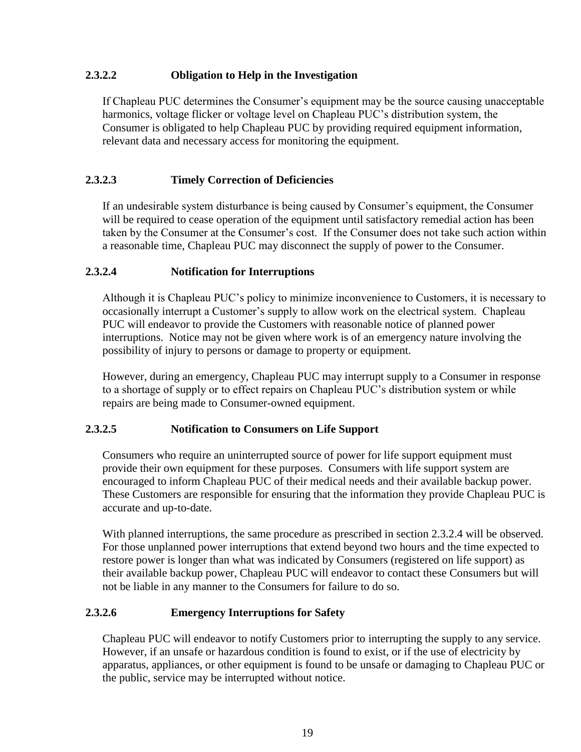#### **2.3.2.2 Obligation to Help in the Investigation**

If Chapleau PUC determines the Consumer's equipment may be the source causing unacceptable harmonics, voltage flicker or voltage level on Chapleau PUC's distribution system, the Consumer is obligated to help Chapleau PUC by providing required equipment information, relevant data and necessary access for monitoring the equipment.

#### **2.3.2.3 Timely Correction of Deficiencies**

If an undesirable system disturbance is being caused by Consumer's equipment, the Consumer will be required to cease operation of the equipment until satisfactory remedial action has been taken by the Consumer at the Consumer's cost. If the Consumer does not take such action within a reasonable time, Chapleau PUC may disconnect the supply of power to the Consumer.

#### **2.3.2.4 Notification for Interruptions**

Although it is Chapleau PUC's policy to minimize inconvenience to Customers, it is necessary to occasionally interrupt a Customer's supply to allow work on the electrical system. Chapleau PUC will endeavor to provide the Customers with reasonable notice of planned power interruptions. Notice may not be given where work is of an emergency nature involving the possibility of injury to persons or damage to property or equipment.

However, during an emergency, Chapleau PUC may interrupt supply to a Consumer in response to a shortage of supply or to effect repairs on Chapleau PUC's distribution system or while repairs are being made to Consumer-owned equipment.

#### **2.3.2.5 Notification to Consumers on Life Support**

Consumers who require an uninterrupted source of power for life support equipment must provide their own equipment for these purposes. Consumers with life support system are encouraged to inform Chapleau PUC of their medical needs and their available backup power. These Customers are responsible for ensuring that the information they provide Chapleau PUC is accurate and up-to-date.

With planned interruptions, the same procedure as prescribed in section 2.3.2.4 will be observed. For those unplanned power interruptions that extend beyond two hours and the time expected to restore power is longer than what was indicated by Consumers (registered on life support) as their available backup power, Chapleau PUC will endeavor to contact these Consumers but will not be liable in any manner to the Consumers for failure to do so.

#### **2.3.2.6 Emergency Interruptions for Safety**

Chapleau PUC will endeavor to notify Customers prior to interrupting the supply to any service. However, if an unsafe or hazardous condition is found to exist, or if the use of electricity by apparatus, appliances, or other equipment is found to be unsafe or damaging to Chapleau PUC or the public, service may be interrupted without notice.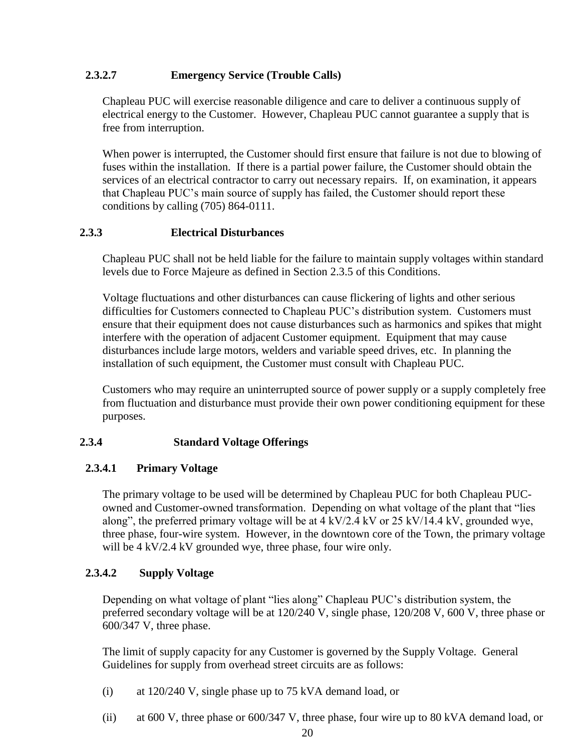## **2.3.2.7 Emergency Service (Trouble Calls)**

Chapleau PUC will exercise reasonable diligence and care to deliver a continuous supply of electrical energy to the Customer. However, Chapleau PUC cannot guarantee a supply that is free from interruption.

When power is interrupted, the Customer should first ensure that failure is not due to blowing of fuses within the installation. If there is a partial power failure, the Customer should obtain the services of an electrical contractor to carry out necessary repairs. If, on examination, it appears that Chapleau PUC's main source of supply has failed, the Customer should report these conditions by calling (705) 864-0111.

#### **2.3.3 Electrical Disturbances**

Chapleau PUC shall not be held liable for the failure to maintain supply voltages within standard levels due to Force Majeure as defined in Section 2.3.5 of this Conditions.

Voltage fluctuations and other disturbances can cause flickering of lights and other serious difficulties for Customers connected to Chapleau PUC's distribution system. Customers must ensure that their equipment does not cause disturbances such as harmonics and spikes that might interfere with the operation of adjacent Customer equipment. Equipment that may cause disturbances include large motors, welders and variable speed drives, etc. In planning the installation of such equipment, the Customer must consult with Chapleau PUC.

Customers who may require an uninterrupted source of power supply or a supply completely free from fluctuation and disturbance must provide their own power conditioning equipment for these purposes.

#### **2.3.4 Standard Voltage Offerings**

#### **2.3.4.1 Primary Voltage**

The primary voltage to be used will be determined by Chapleau PUC for both Chapleau PUCowned and Customer-owned transformation. Depending on what voltage of the plant that "lies along", the preferred primary voltage will be at 4 kV/2.4 kV or 25 kV/14.4 kV, grounded wye, three phase, four-wire system. However, in the downtown core of the Town, the primary voltage will be 4 kV/2.4 kV grounded wye, three phase, four wire only.

#### **2.3.4.2 Supply Voltage**

Depending on what voltage of plant "lies along" Chapleau PUC's distribution system, the preferred secondary voltage will be at 120/240 V, single phase, 120/208 V, 600 V, three phase or 600/347 V, three phase.

The limit of supply capacity for any Customer is governed by the Supply Voltage. General Guidelines for supply from overhead street circuits are as follows:

- (i) at 120/240 V, single phase up to 75 kVA demand load, or
- (ii) at 600 V, three phase or 600/347 V, three phase, four wire up to 80 kVA demand load, or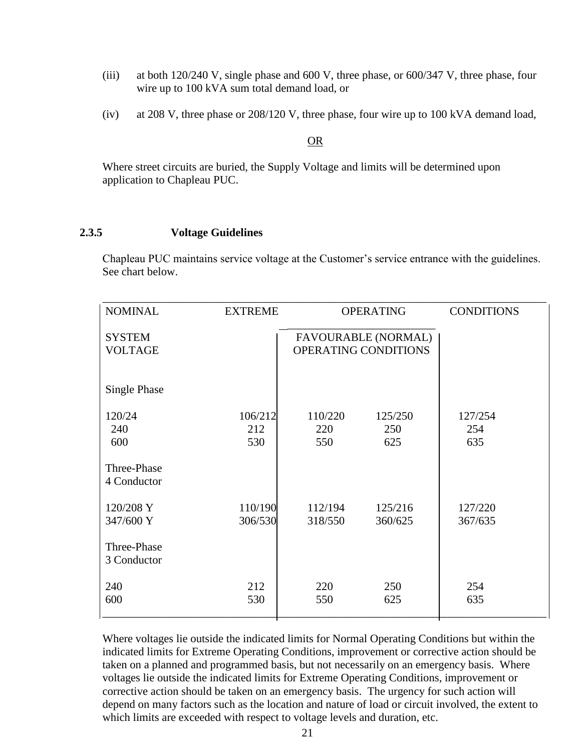- (iii) at both 120/240 V, single phase and 600 V, three phase, or 600/347 V, three phase, four wire up to 100 kVA sum total demand load, or
- (iv) at 208 V, three phase or 208/120 V, three phase, four wire up to 100 kVA demand load,

#### OR

Where street circuits are buried, the Supply Voltage and limits will be determined upon application to Chapleau PUC.

#### **2.3.5 Voltage Guidelines**

Chapleau PUC maintains service voltage at the Customer's service entrance with the guidelines. See chart below.

| <b>NOMINAL</b>      | <b>EXTREME</b> |                      | <b>OPERATING</b>           | <b>CONDITIONS</b> |
|---------------------|----------------|----------------------|----------------------------|-------------------|
| <b>SYSTEM</b>       |                |                      | <b>FAVOURABLE (NORMAL)</b> |                   |
| <b>VOLTAGE</b>      |                | OPERATING CONDITIONS |                            |                   |
| <b>Single Phase</b> |                |                      |                            |                   |
| 120/24              | 106/212        | 110/220              | 125/250                    | 127/254           |
| 240                 | 212            | 220                  | 250                        | 254               |
| 600                 | 530            | 550                  | 625                        | 635               |
| Three-Phase         |                |                      |                            |                   |
| 4 Conductor         |                |                      |                            |                   |
| 120/208 Y           | 110/190        | 112/194              | 125/216                    | 127/220           |
| 347/600 Y           | 306/530        | 318/550              | 360/625                    | 367/635           |
| Three-Phase         |                |                      |                            |                   |
| 3 Conductor         |                |                      |                            |                   |
| 240                 | 212            | 220                  | 250                        | 254               |
| 600                 | 530            | 550                  | 625                        | 635               |
|                     |                |                      |                            |                   |

Where voltages lie outside the indicated limits for Normal Operating Conditions but within the indicated limits for Extreme Operating Conditions, improvement or corrective action should be taken on a planned and programmed basis, but not necessarily on an emergency basis. Where voltages lie outside the indicated limits for Extreme Operating Conditions, improvement or corrective action should be taken on an emergency basis. The urgency for such action will depend on many factors such as the location and nature of load or circuit involved, the extent to which limits are exceeded with respect to voltage levels and duration, etc.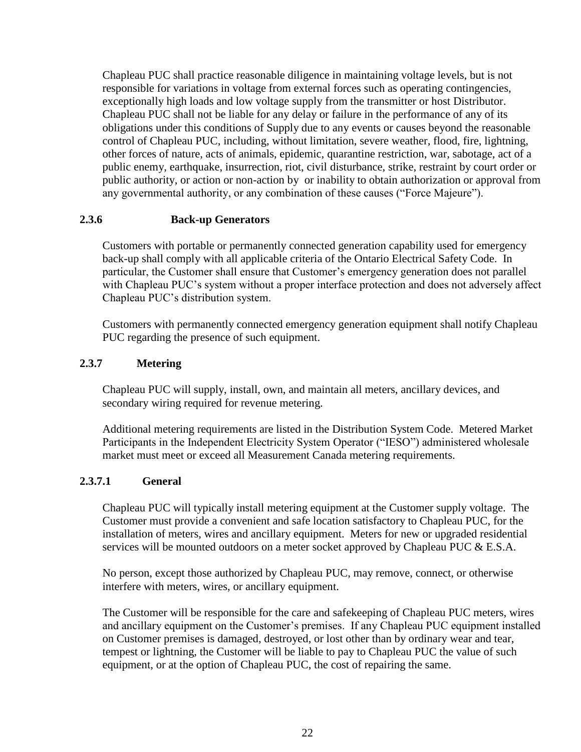Chapleau PUC shall practice reasonable diligence in maintaining voltage levels, but is not responsible for variations in voltage from external forces such as operating contingencies, exceptionally high loads and low voltage supply from the transmitter or host Distributor. Chapleau PUC shall not be liable for any delay or failure in the performance of any of its obligations under this conditions of Supply due to any events or causes beyond the reasonable control of Chapleau PUC, including, without limitation, severe weather, flood, fire, lightning, other forces of nature, acts of animals, epidemic, quarantine restriction, war, sabotage, act of a public enemy, earthquake, insurrection, riot, civil disturbance, strike, restraint by court order or public authority, or action or non-action by or inability to obtain authorization or approval from any governmental authority, or any combination of these causes ("Force Majeure").

#### **2.3.6 Back-up Generators**

Customers with portable or permanently connected generation capability used for emergency back-up shall comply with all applicable criteria of the Ontario Electrical Safety Code. In particular, the Customer shall ensure that Customer's emergency generation does not parallel with Chapleau PUC's system without a proper interface protection and does not adversely affect Chapleau PUC's distribution system.

Customers with permanently connected emergency generation equipment shall notify Chapleau PUC regarding the presence of such equipment.

#### **2.3.7 Metering**

Chapleau PUC will supply, install, own, and maintain all meters, ancillary devices, and secondary wiring required for revenue metering.

Additional metering requirements are listed in the Distribution System Code. Metered Market Participants in the Independent Electricity System Operator ("IESO") administered wholesale market must meet or exceed all Measurement Canada metering requirements.

#### **2.3.7.1 General**

Chapleau PUC will typically install metering equipment at the Customer supply voltage. The Customer must provide a convenient and safe location satisfactory to Chapleau PUC, for the installation of meters, wires and ancillary equipment. Meters for new or upgraded residential services will be mounted outdoors on a meter socket approved by Chapleau PUC & E.S.A.

No person, except those authorized by Chapleau PUC, may remove, connect, or otherwise interfere with meters, wires, or ancillary equipment.

The Customer will be responsible for the care and safekeeping of Chapleau PUC meters, wires and ancillary equipment on the Customer's premises. If any Chapleau PUC equipment installed on Customer premises is damaged, destroyed, or lost other than by ordinary wear and tear, tempest or lightning, the Customer will be liable to pay to Chapleau PUC the value of such equipment, or at the option of Chapleau PUC, the cost of repairing the same.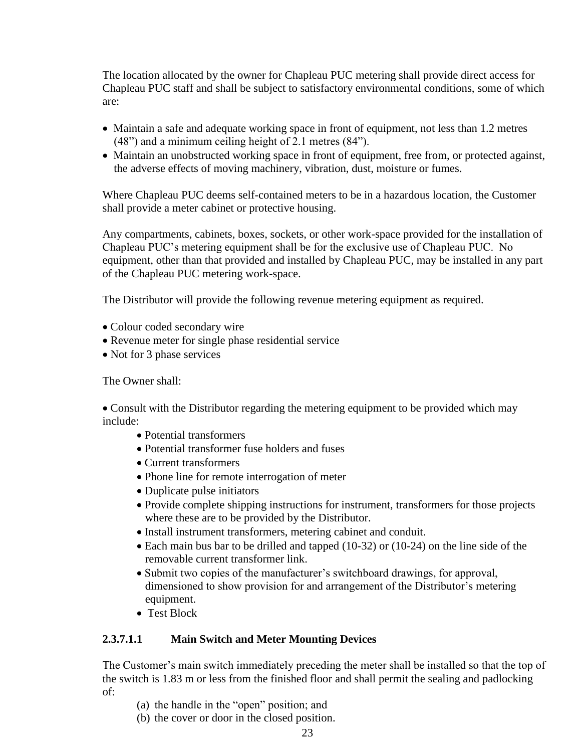The location allocated by the owner for Chapleau PUC metering shall provide direct access for Chapleau PUC staff and shall be subject to satisfactory environmental conditions, some of which are:

- Maintain a safe and adequate working space in front of equipment, not less than 1.2 metres (48") and a minimum ceiling height of 2.1 metres (84").
- Maintain an unobstructed working space in front of equipment, free from, or protected against, the adverse effects of moving machinery, vibration, dust, moisture or fumes.

Where Chapleau PUC deems self-contained meters to be in a hazardous location, the Customer shall provide a meter cabinet or protective housing.

Any compartments, cabinets, boxes, sockets, or other work-space provided for the installation of Chapleau PUC's metering equipment shall be for the exclusive use of Chapleau PUC. No equipment, other than that provided and installed by Chapleau PUC, may be installed in any part of the Chapleau PUC metering work-space.

The Distributor will provide the following revenue metering equipment as required.

- Colour coded secondary wire
- Revenue meter for single phase residential service
- Not for 3 phase services

The Owner shall:

• Consult with the Distributor regarding the metering equipment to be provided which may include:

- Potential transformers
- Potential transformer fuse holders and fuses
- Current transformers
- Phone line for remote interrogation of meter
- Duplicate pulse initiators
- Provide complete shipping instructions for instrument, transformers for those projects where these are to be provided by the Distributor.
- Install instrument transformers, metering cabinet and conduit.
- Each main bus bar to be drilled and tapped (10-32) or (10-24) on the line side of the removable current transformer link.
- Submit two copies of the manufacturer's switchboard drawings, for approval, dimensioned to show provision for and arrangement of the Distributor's metering equipment.
- Test Block

#### **2.3.7.1.1 Main Switch and Meter Mounting Devices**

The Customer's main switch immediately preceding the meter shall be installed so that the top of the switch is 1.83 m or less from the finished floor and shall permit the sealing and padlocking of:

- (a) the handle in the "open" position; and
- (b) the cover or door in the closed position.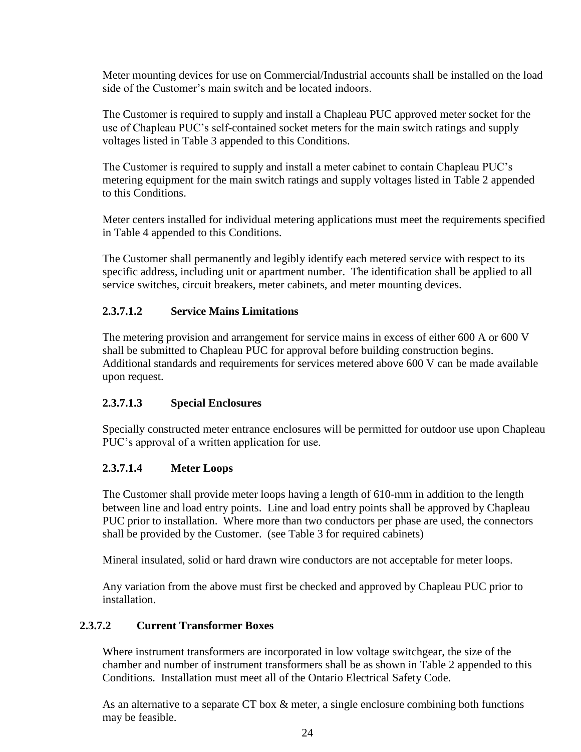Meter mounting devices for use on Commercial/Industrial accounts shall be installed on the load side of the Customer's main switch and be located indoors.

The Customer is required to supply and install a Chapleau PUC approved meter socket for the use of Chapleau PUC's self-contained socket meters for the main switch ratings and supply voltages listed in Table 3 appended to this Conditions.

The Customer is required to supply and install a meter cabinet to contain Chapleau PUC's metering equipment for the main switch ratings and supply voltages listed in Table 2 appended to this Conditions.

Meter centers installed for individual metering applications must meet the requirements specified in Table 4 appended to this Conditions.

The Customer shall permanently and legibly identify each metered service with respect to its specific address, including unit or apartment number. The identification shall be applied to all service switches, circuit breakers, meter cabinets, and meter mounting devices.

## **2.3.7.1.2 Service Mains Limitations**

The metering provision and arrangement for service mains in excess of either 600 A or 600 V shall be submitted to Chapleau PUC for approval before building construction begins. Additional standards and requirements for services metered above 600 V can be made available upon request.

#### **2.3.7.1.3 Special Enclosures**

Specially constructed meter entrance enclosures will be permitted for outdoor use upon Chapleau PUC's approval of a written application for use.

#### **2.3.7.1.4 Meter Loops**

The Customer shall provide meter loops having a length of 610-mm in addition to the length between line and load entry points. Line and load entry points shall be approved by Chapleau PUC prior to installation. Where more than two conductors per phase are used, the connectors shall be provided by the Customer. (see Table 3 for required cabinets)

Mineral insulated, solid or hard drawn wire conductors are not acceptable for meter loops.

Any variation from the above must first be checked and approved by Chapleau PUC prior to installation.

#### **2.3.7.2 Current Transformer Boxes**

Where instrument transformers are incorporated in low voltage switchgear, the size of the chamber and number of instrument transformers shall be as shown in Table 2 appended to this Conditions. Installation must meet all of the Ontario Electrical Safety Code.

As an alternative to a separate CT box & meter, a single enclosure combining both functions may be feasible.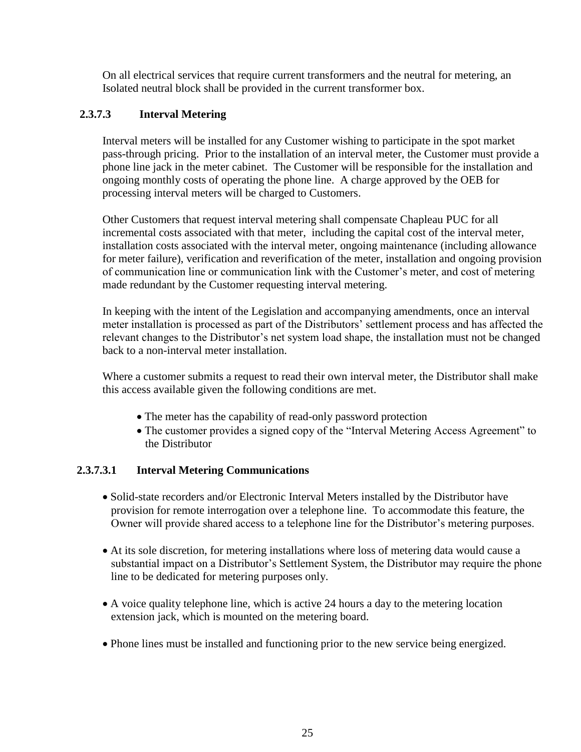On all electrical services that require current transformers and the neutral for metering, an Isolated neutral block shall be provided in the current transformer box.

## **2.3.7.3 Interval Metering**

Interval meters will be installed for any Customer wishing to participate in the spot market pass-through pricing. Prior to the installation of an interval meter, the Customer must provide a phone line jack in the meter cabinet. The Customer will be responsible for the installation and ongoing monthly costs of operating the phone line. A charge approved by the OEB for processing interval meters will be charged to Customers.

Other Customers that request interval metering shall compensate Chapleau PUC for all incremental costs associated with that meter, including the capital cost of the interval meter, installation costs associated with the interval meter, ongoing maintenance (including allowance for meter failure), verification and reverification of the meter, installation and ongoing provision of communication line or communication link with the Customer's meter, and cost of metering made redundant by the Customer requesting interval metering.

In keeping with the intent of the Legislation and accompanying amendments, once an interval meter installation is processed as part of the Distributors' settlement process and has affected the relevant changes to the Distributor's net system load shape, the installation must not be changed back to a non-interval meter installation.

Where a customer submits a request to read their own interval meter, the Distributor shall make this access available given the following conditions are met.

- The meter has the capability of read-only password protection
- The customer provides a signed copy of the "Interval Metering Access Agreement" to the Distributor

#### **2.3.7.3.1 Interval Metering Communications**

- Solid-state recorders and/or Electronic Interval Meters installed by the Distributor have provision for remote interrogation over a telephone line. To accommodate this feature, the Owner will provide shared access to a telephone line for the Distributor's metering purposes.
- At its sole discretion, for metering installations where loss of metering data would cause a substantial impact on a Distributor's Settlement System, the Distributor may require the phone line to be dedicated for metering purposes only.
- A voice quality telephone line, which is active 24 hours a day to the metering location extension jack, which is mounted on the metering board.
- Phone lines must be installed and functioning prior to the new service being energized.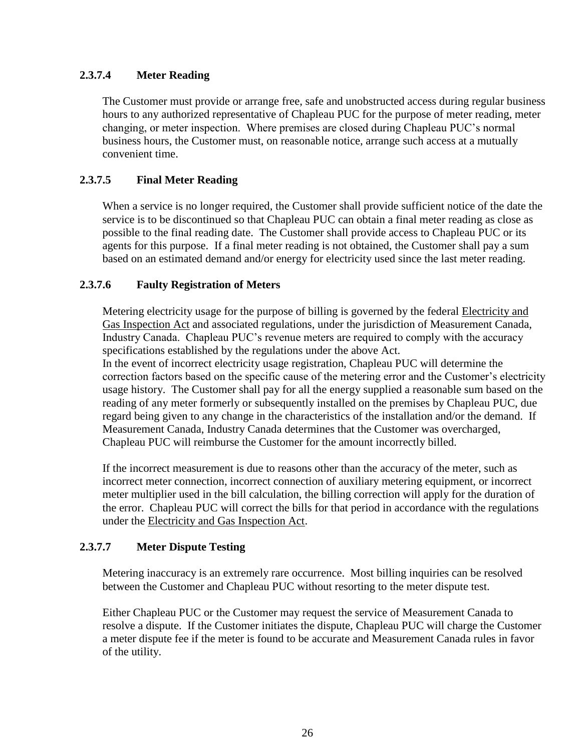## **2.3.7.4 Meter Reading**

The Customer must provide or arrange free, safe and unobstructed access during regular business hours to any authorized representative of Chapleau PUC for the purpose of meter reading, meter changing, or meter inspection. Where premises are closed during Chapleau PUC's normal business hours, the Customer must, on reasonable notice, arrange such access at a mutually convenient time.

## **2.3.7.5 Final Meter Reading**

When a service is no longer required, the Customer shall provide sufficient notice of the date the service is to be discontinued so that Chapleau PUC can obtain a final meter reading as close as possible to the final reading date. The Customer shall provide access to Chapleau PUC or its agents for this purpose. If a final meter reading is not obtained, the Customer shall pay a sum based on an estimated demand and/or energy for electricity used since the last meter reading.

#### **2.3.7.6 Faulty Registration of Meters**

Metering electricity usage for the purpose of billing is governed by the federal Electricity and Gas Inspection Act and associated regulations, under the jurisdiction of Measurement Canada, Industry Canada. Chapleau PUC's revenue meters are required to comply with the accuracy specifications established by the regulations under the above Act.

In the event of incorrect electricity usage registration, Chapleau PUC will determine the correction factors based on the specific cause of the metering error and the Customer's electricity usage history. The Customer shall pay for all the energy supplied a reasonable sum based on the reading of any meter formerly or subsequently installed on the premises by Chapleau PUC, due regard being given to any change in the characteristics of the installation and/or the demand. If Measurement Canada, Industry Canada determines that the Customer was overcharged, Chapleau PUC will reimburse the Customer for the amount incorrectly billed.

If the incorrect measurement is due to reasons other than the accuracy of the meter, such as incorrect meter connection, incorrect connection of auxiliary metering equipment, or incorrect meter multiplier used in the bill calculation, the billing correction will apply for the duration of the error. Chapleau PUC will correct the bills for that period in accordance with the regulations under the Electricity and Gas Inspection Act.

#### **2.3.7.7 Meter Dispute Testing**

Metering inaccuracy is an extremely rare occurrence. Most billing inquiries can be resolved between the Customer and Chapleau PUC without resorting to the meter dispute test.

Either Chapleau PUC or the Customer may request the service of Measurement Canada to resolve a dispute. If the Customer initiates the dispute, Chapleau PUC will charge the Customer a meter dispute fee if the meter is found to be accurate and Measurement Canada rules in favor of the utility.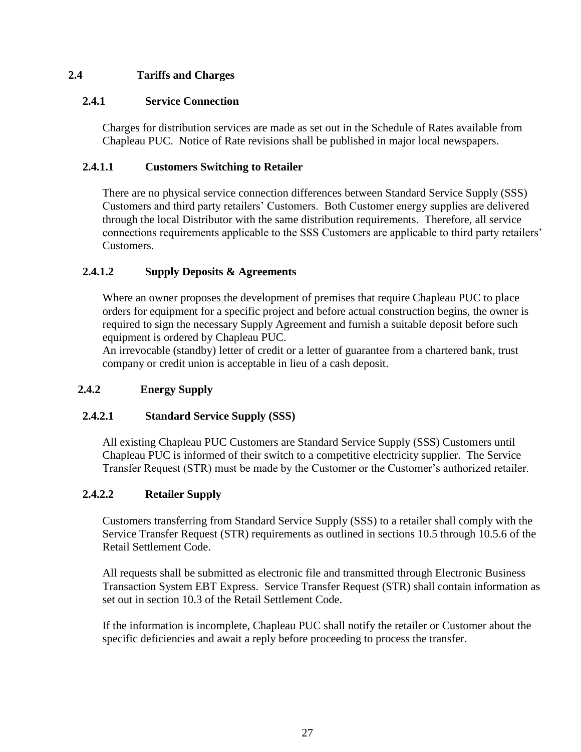## **2.4 Tariffs and Charges**

## **2.4.1 Service Connection**

Charges for distribution services are made as set out in the Schedule of Rates available from Chapleau PUC. Notice of Rate revisions shall be published in major local newspapers.

## **2.4.1.1 Customers Switching to Retailer**

There are no physical service connection differences between Standard Service Supply (SSS) Customers and third party retailers' Customers. Both Customer energy supplies are delivered through the local Distributor with the same distribution requirements. Therefore, all service connections requirements applicable to the SSS Customers are applicable to third party retailers' Customers.

## **2.4.1.2 Supply Deposits & Agreements**

Where an owner proposes the development of premises that require Chapleau PUC to place orders for equipment for a specific project and before actual construction begins, the owner is required to sign the necessary Supply Agreement and furnish a suitable deposit before such equipment is ordered by Chapleau PUC.

An irrevocable (standby) letter of credit or a letter of guarantee from a chartered bank, trust company or credit union is acceptable in lieu of a cash deposit.

## **2.4.2 Energy Supply**

#### **2.4.2.1 Standard Service Supply (SSS)**

All existing Chapleau PUC Customers are Standard Service Supply (SSS) Customers until Chapleau PUC is informed of their switch to a competitive electricity supplier. The Service Transfer Request (STR) must be made by the Customer or the Customer's authorized retailer.

#### **2.4.2.2 Retailer Supply**

Customers transferring from Standard Service Supply (SSS) to a retailer shall comply with the Service Transfer Request (STR) requirements as outlined in sections 10.5 through 10.5.6 of the Retail Settlement Code.

All requests shall be submitted as electronic file and transmitted through Electronic Business Transaction System EBT Express. Service Transfer Request (STR) shall contain information as set out in section 10.3 of the Retail Settlement Code.

If the information is incomplete, Chapleau PUC shall notify the retailer or Customer about the specific deficiencies and await a reply before proceeding to process the transfer.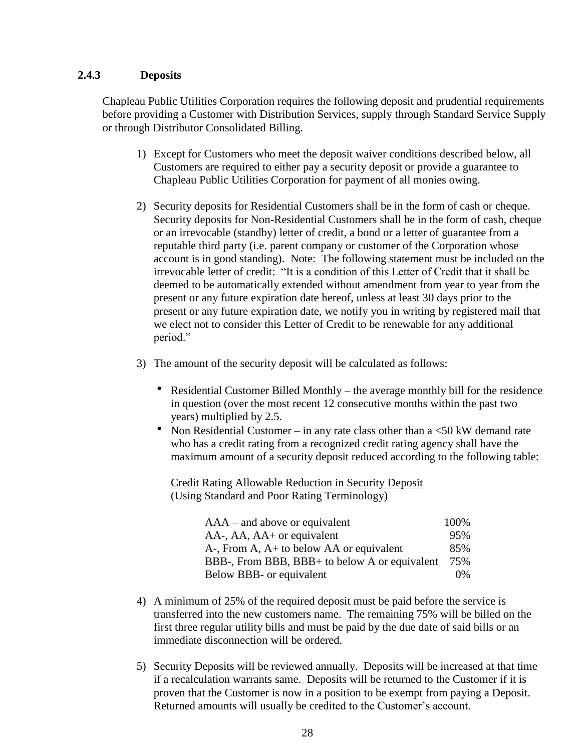#### **2.4.3 Deposits**

Chapleau Public Utilities Corporation requires the following deposit and prudential requirements before providing a Customer with Distribution Services, supply through Standard Service Supply or through Distributor Consolidated Billing.

- 1) Except for Customers who meet the deposit waiver conditions described below, all Customers are required to either pay a security deposit or provide a guarantee to Chapleau Public Utilities Corporation for payment of all monies owing.
- 2) Security deposits for Residential Customers shall be in the form of cash or cheque. Security deposits for Non-Residential Customers shall be in the form of cash, cheque or an irrevocable (standby) letter of credit, a bond or a letter of guarantee from a reputable third party (i.e. parent company or customer of the Corporation whose account is in good standing). Note: The following statement must be included on the irrevocable letter of credit: "It is a condition of this Letter of Credit that it shall be deemed to be automatically extended without amendment from year to year from the present or any future expiration date hereof, unless at least 30 days prior to the present or any future expiration date, we notify you in writing by registered mail that we elect not to consider this Letter of Credit to be renewable for any additional period."
- 3) The amount of the security deposit will be calculated as follows:
	- Residential Customer Billed Monthly the average monthly bill for the residence in question (over the most recent 12 consecutive months within the past two years) multiplied by 2.5.
	- Non Residential Customer in any rate class other than a  $\leq 50$  kW demand rate who has a credit rating from a recognized credit rating agency shall have the maximum amount of a security deposit reduced according to the following table:

Credit Rating Allowable Reduction in Security Deposit (Using Standard and Poor Rating Terminology)

| $AAA$ – and above or equivalent               | 100%  |
|-----------------------------------------------|-------|
| AA-, AA, AA+ or equivalent                    | 95%   |
| $Az$ , From A, $Az$ to below AA or equivalent | 85%   |
| BBB-, From BBB, BBB+ to below A or equivalent | 75%   |
| Below BBB- or equivalent                      | $0\%$ |

- 4) A minimum of 25% of the required deposit must be paid before the service is transferred into the new customers name. The remaining 75% will be billed on the first three regular utility bills and must be paid by the due date of said bills or an immediate disconnection will be ordered.
- 5) Security Deposits will be reviewed annually. Deposits will be increased at that time if a recalculation warrants same. Deposits will be returned to the Customer if it is proven that the Customer is now in a position to be exempt from paying a Deposit. Returned amounts will usually be credited to the Customer's account.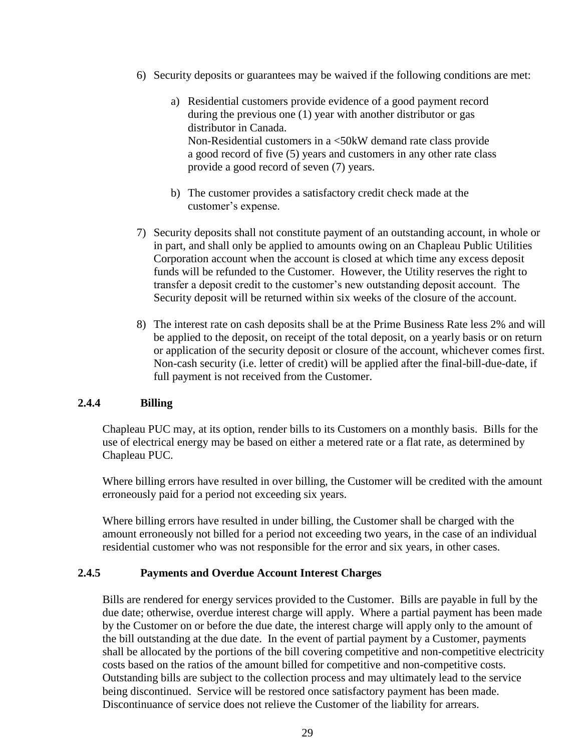- 6) Security deposits or guarantees may be waived if the following conditions are met:
	- a) Residential customers provide evidence of a good payment record during the previous one (1) year with another distributor or gas distributor in Canada. Non-Residential customers in a <50kW demand rate class provide a good record of five (5) years and customers in any other rate class provide a good record of seven (7) years.
	- b) The customer provides a satisfactory credit check made at the customer's expense.
- 7) Security deposits shall not constitute payment of an outstanding account, in whole or in part, and shall only be applied to amounts owing on an Chapleau Public Utilities Corporation account when the account is closed at which time any excess deposit funds will be refunded to the Customer. However, the Utility reserves the right to transfer a deposit credit to the customer's new outstanding deposit account. The Security deposit will be returned within six weeks of the closure of the account.
- 8) The interest rate on cash deposits shall be at the Prime Business Rate less 2% and will be applied to the deposit, on receipt of the total deposit, on a yearly basis or on return or application of the security deposit or closure of the account, whichever comes first. Non-cash security (i.e. letter of credit) will be applied after the final-bill-due-date, if full payment is not received from the Customer.

#### **2.4.4 Billing**

Chapleau PUC may, at its option, render bills to its Customers on a monthly basis. Bills for the use of electrical energy may be based on either a metered rate or a flat rate, as determined by Chapleau PUC.

Where billing errors have resulted in over billing, the Customer will be credited with the amount erroneously paid for a period not exceeding six years.

Where billing errors have resulted in under billing, the Customer shall be charged with the amount erroneously not billed for a period not exceeding two years, in the case of an individual residential customer who was not responsible for the error and six years, in other cases.

#### **2.4.5 Payments and Overdue Account Interest Charges**

Bills are rendered for energy services provided to the Customer. Bills are payable in full by the due date; otherwise, overdue interest charge will apply. Where a partial payment has been made by the Customer on or before the due date, the interest charge will apply only to the amount of the bill outstanding at the due date. In the event of partial payment by a Customer, payments shall be allocated by the portions of the bill covering competitive and non-competitive electricity costs based on the ratios of the amount billed for competitive and non-competitive costs. Outstanding bills are subject to the collection process and may ultimately lead to the service being discontinued. Service will be restored once satisfactory payment has been made. Discontinuance of service does not relieve the Customer of the liability for arrears.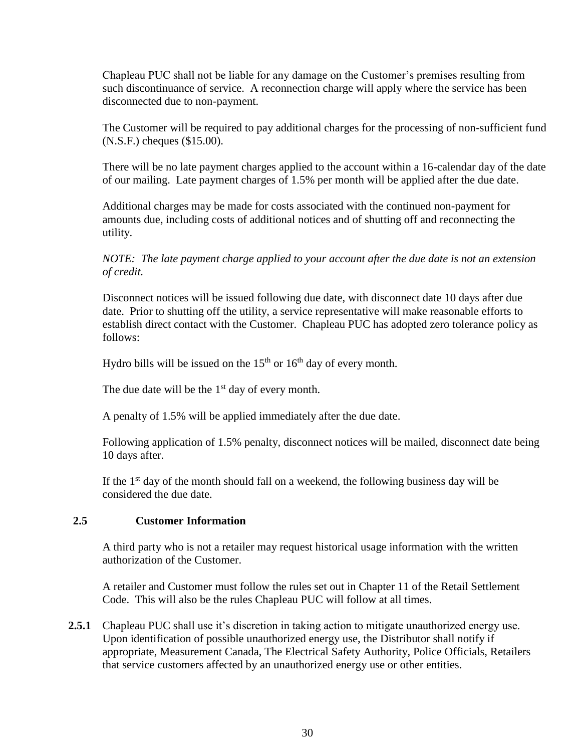Chapleau PUC shall not be liable for any damage on the Customer's premises resulting from such discontinuance of service. A reconnection charge will apply where the service has been disconnected due to non-payment.

The Customer will be required to pay additional charges for the processing of non-sufficient fund (N.S.F.) cheques (\$15.00).

There will be no late payment charges applied to the account within a 16-calendar day of the date of our mailing. Late payment charges of 1.5% per month will be applied after the due date.

Additional charges may be made for costs associated with the continued non-payment for amounts due, including costs of additional notices and of shutting off and reconnecting the utility.

*NOTE: The late payment charge applied to your account after the due date is not an extension of credit.*

Disconnect notices will be issued following due date, with disconnect date 10 days after due date. Prior to shutting off the utility, a service representative will make reasonable efforts to establish direct contact with the Customer. Chapleau PUC has adopted zero tolerance policy as follows:

Hydro bills will be issued on the  $15<sup>th</sup>$  or  $16<sup>th</sup>$  day of every month.

The due date will be the  $1<sup>st</sup>$  day of every month.

A penalty of 1.5% will be applied immediately after the due date.

Following application of 1.5% penalty, disconnect notices will be mailed, disconnect date being 10 days after.

If the  $1<sup>st</sup>$  day of the month should fall on a weekend, the following business day will be considered the due date.

#### **2.5 Customer Information**

A third party who is not a retailer may request historical usage information with the written authorization of the Customer.

A retailer and Customer must follow the rules set out in Chapter 11 of the Retail Settlement Code. This will also be the rules Chapleau PUC will follow at all times.

**2.5.1** Chapleau PUC shall use it's discretion in taking action to mitigate unauthorized energy use. Upon identification of possible unauthorized energy use, the Distributor shall notify if appropriate, Measurement Canada, The Electrical Safety Authority, Police Officials, Retailers that service customers affected by an unauthorized energy use or other entities.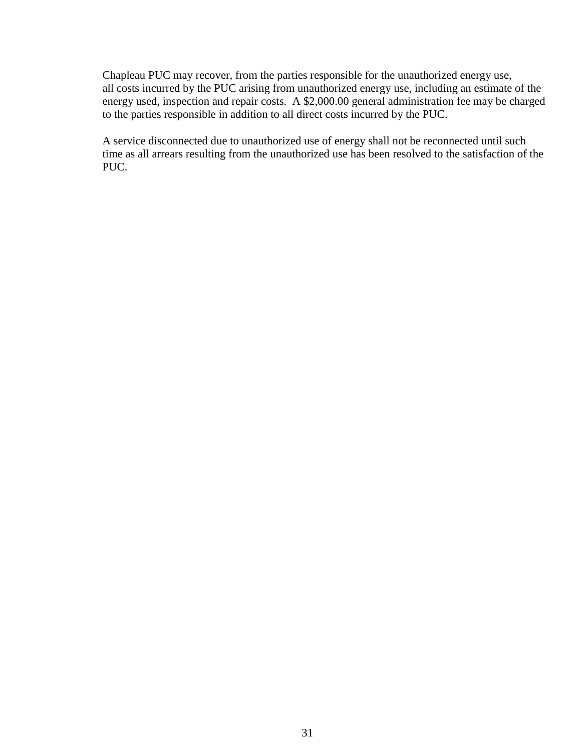Chapleau PUC may recover, from the parties responsible for the unauthorized energy use, all costs incurred by the PUC arising from unauthorized energy use, including an estimate of the energy used, inspection and repair costs. A \$2,000.00 general administration fee may be charged to the parties responsible in addition to all direct costs incurred by the PUC.

A service disconnected due to unauthorized use of energy shall not be reconnected until such time as all arrears resulting from the unauthorized use has been resolved to the satisfaction of the PUC.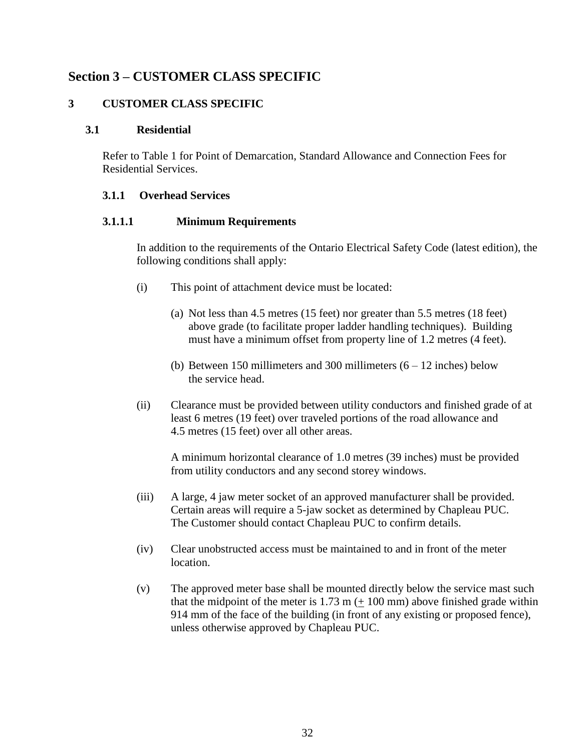## **Section 3 – CUSTOMER CLASS SPECIFIC**

#### **3 CUSTOMER CLASS SPECIFIC**

#### **3.1 Residential**

Refer to Table 1 for Point of Demarcation, Standard Allowance and Connection Fees for Residential Services.

#### **3.1.1 Overhead Services**

#### **3.1.1.1 Minimum Requirements**

In addition to the requirements of the Ontario Electrical Safety Code (latest edition), the following conditions shall apply:

- (i) This point of attachment device must be located:
	- (a) Not less than 4.5 metres (15 feet) nor greater than 5.5 metres (18 feet) above grade (to facilitate proper ladder handling techniques). Building must have a minimum offset from property line of 1.2 metres (4 feet).
	- (b) Between 150 millimeters and 300 millimeters  $(6 12)$  inches) below the service head.
- (ii) Clearance must be provided between utility conductors and finished grade of at least 6 metres (19 feet) over traveled portions of the road allowance and 4.5 metres (15 feet) over all other areas.

A minimum horizontal clearance of 1.0 metres (39 inches) must be provided from utility conductors and any second storey windows.

- (iii) A large, 4 jaw meter socket of an approved manufacturer shall be provided. Certain areas will require a 5-jaw socket as determined by Chapleau PUC. The Customer should contact Chapleau PUC to confirm details.
- (iv) Clear unobstructed access must be maintained to and in front of the meter location.
- (v) The approved meter base shall be mounted directly below the service mast such that the midpoint of the meter is  $1.73 \text{ m} (+ 100 \text{ mm})$  above finished grade within 914 mm of the face of the building (in front of any existing or proposed fence), unless otherwise approved by Chapleau PUC.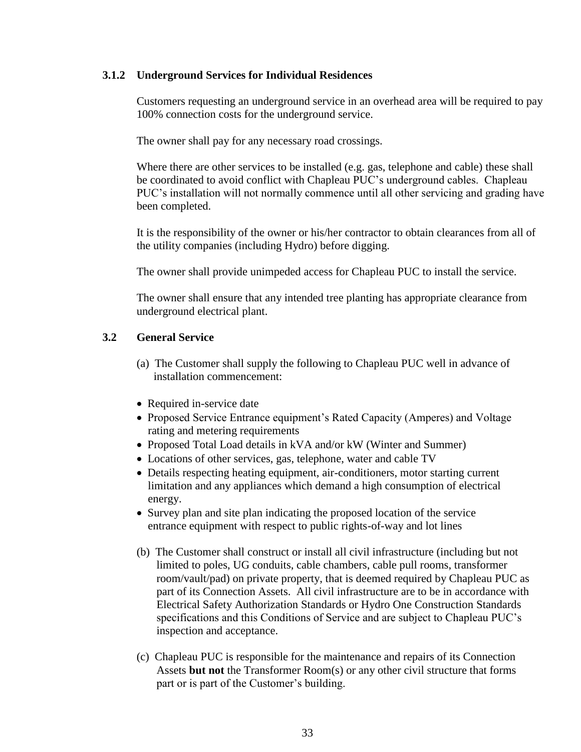#### **3.1.2 Underground Services for Individual Residences**

Customers requesting an underground service in an overhead area will be required to pay 100% connection costs for the underground service.

The owner shall pay for any necessary road crossings.

Where there are other services to be installed (e.g. gas, telephone and cable) these shall be coordinated to avoid conflict with Chapleau PUC's underground cables. Chapleau PUC's installation will not normally commence until all other servicing and grading have been completed.

It is the responsibility of the owner or his/her contractor to obtain clearances from all of the utility companies (including Hydro) before digging.

The owner shall provide unimpeded access for Chapleau PUC to install the service.

The owner shall ensure that any intended tree planting has appropriate clearance from underground electrical plant.

## **3.2 General Service**

- (a) The Customer shall supply the following to Chapleau PUC well in advance of installation commencement:
- Required in-service date
- Proposed Service Entrance equipment's Rated Capacity (Amperes) and Voltage rating and metering requirements
- Proposed Total Load details in kVA and/or kW (Winter and Summer)
- Locations of other services, gas, telephone, water and cable TV
- Details respecting heating equipment, air-conditioners, motor starting current limitation and any appliances which demand a high consumption of electrical energy.
- Survey plan and site plan indicating the proposed location of the service entrance equipment with respect to public rights-of-way and lot lines
- (b) The Customer shall construct or install all civil infrastructure (including but not limited to poles, UG conduits, cable chambers, cable pull rooms, transformer room/vault/pad) on private property, that is deemed required by Chapleau PUC as part of its Connection Assets. All civil infrastructure are to be in accordance with Electrical Safety Authorization Standards or Hydro One Construction Standards specifications and this Conditions of Service and are subject to Chapleau PUC's inspection and acceptance.
- (c) Chapleau PUC is responsible for the maintenance and repairs of its Connection Assets **but not** the Transformer Room(s) or any other civil structure that forms part or is part of the Customer's building.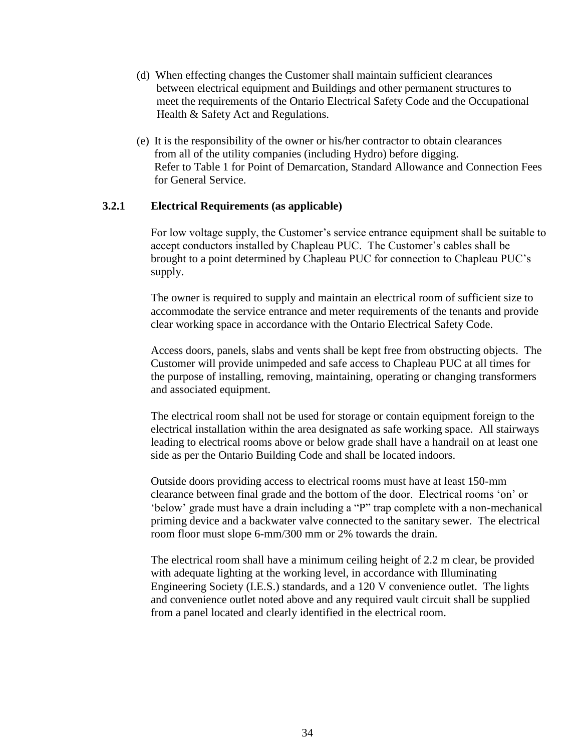- (d) When effecting changes the Customer shall maintain sufficient clearances between electrical equipment and Buildings and other permanent structures to meet the requirements of the Ontario Electrical Safety Code and the Occupational Health & Safety Act and Regulations.
- (e) It is the responsibility of the owner or his/her contractor to obtain clearances from all of the utility companies (including Hydro) before digging. Refer to Table 1 for Point of Demarcation, Standard Allowance and Connection Fees for General Service.

#### **3.2.1 Electrical Requirements (as applicable)**

For low voltage supply, the Customer's service entrance equipment shall be suitable to accept conductors installed by Chapleau PUC. The Customer's cables shall be brought to a point determined by Chapleau PUC for connection to Chapleau PUC's supply.

The owner is required to supply and maintain an electrical room of sufficient size to accommodate the service entrance and meter requirements of the tenants and provide clear working space in accordance with the Ontario Electrical Safety Code.

Access doors, panels, slabs and vents shall be kept free from obstructing objects. The Customer will provide unimpeded and safe access to Chapleau PUC at all times for the purpose of installing, removing, maintaining, operating or changing transformers and associated equipment.

The electrical room shall not be used for storage or contain equipment foreign to the electrical installation within the area designated as safe working space. All stairways leading to electrical rooms above or below grade shall have a handrail on at least one side as per the Ontario Building Code and shall be located indoors.

Outside doors providing access to electrical rooms must have at least 150-mm clearance between final grade and the bottom of the door. Electrical rooms 'on' or 'below' grade must have a drain including a "P" trap complete with a non-mechanical priming device and a backwater valve connected to the sanitary sewer. The electrical room floor must slope 6-mm/300 mm or 2% towards the drain.

The electrical room shall have a minimum ceiling height of 2.2 m clear, be provided with adequate lighting at the working level, in accordance with Illuminating Engineering Society (I.E.S.) standards, and a 120 V convenience outlet. The lights and convenience outlet noted above and any required vault circuit shall be supplied from a panel located and clearly identified in the electrical room.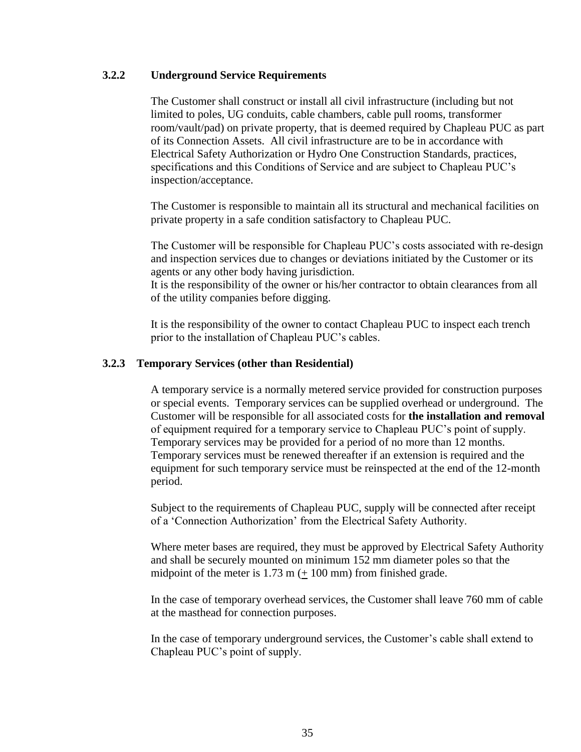#### **3.2.2 Underground Service Requirements**

The Customer shall construct or install all civil infrastructure (including but not limited to poles, UG conduits, cable chambers, cable pull rooms, transformer room/vault/pad) on private property, that is deemed required by Chapleau PUC as part of its Connection Assets. All civil infrastructure are to be in accordance with Electrical Safety Authorization or Hydro One Construction Standards, practices, specifications and this Conditions of Service and are subject to Chapleau PUC's inspection/acceptance.

The Customer is responsible to maintain all its structural and mechanical facilities on private property in a safe condition satisfactory to Chapleau PUC.

The Customer will be responsible for Chapleau PUC's costs associated with re-design and inspection services due to changes or deviations initiated by the Customer or its agents or any other body having jurisdiction.

It is the responsibility of the owner or his/her contractor to obtain clearances from all of the utility companies before digging.

It is the responsibility of the owner to contact Chapleau PUC to inspect each trench prior to the installation of Chapleau PUC's cables.

#### **3.2.3 Temporary Services (other than Residential)**

A temporary service is a normally metered service provided for construction purposes or special events. Temporary services can be supplied overhead or underground. The Customer will be responsible for all associated costs for **the installation and removal** of equipment required for a temporary service to Chapleau PUC's point of supply. Temporary services may be provided for a period of no more than 12 months. Temporary services must be renewed thereafter if an extension is required and the equipment for such temporary service must be reinspected at the end of the 12-month period.

Subject to the requirements of Chapleau PUC, supply will be connected after receipt of a 'Connection Authorization' from the Electrical Safety Authority.

Where meter bases are required, they must be approved by Electrical Safety Authority and shall be securely mounted on minimum 152 mm diameter poles so that the midpoint of the meter is  $1.73 \text{ m} (+ 100 \text{ mm})$  from finished grade.

In the case of temporary overhead services, the Customer shall leave 760 mm of cable at the masthead for connection purposes.

In the case of temporary underground services, the Customer's cable shall extend to Chapleau PUC's point of supply.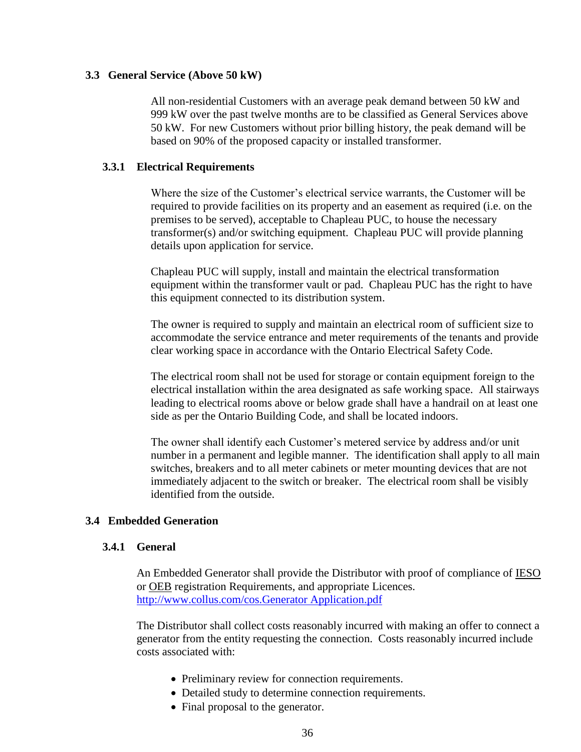#### **3.3 General Service (Above 50 kW)**

All non-residential Customers with an average peak demand between 50 kW and 999 kW over the past twelve months are to be classified as General Services above 50 kW. For new Customers without prior billing history, the peak demand will be based on 90% of the proposed capacity or installed transformer.

#### **3.3.1 Electrical Requirements**

Where the size of the Customer's electrical service warrants, the Customer will be required to provide facilities on its property and an easement as required (i.e. on the premises to be served), acceptable to Chapleau PUC, to house the necessary transformer(s) and/or switching equipment. Chapleau PUC will provide planning details upon application for service.

Chapleau PUC will supply, install and maintain the electrical transformation equipment within the transformer vault or pad. Chapleau PUC has the right to have this equipment connected to its distribution system.

The owner is required to supply and maintain an electrical room of sufficient size to accommodate the service entrance and meter requirements of the tenants and provide clear working space in accordance with the Ontario Electrical Safety Code.

The electrical room shall not be used for storage or contain equipment foreign to the electrical installation within the area designated as safe working space. All stairways leading to electrical rooms above or below grade shall have a handrail on at least one side as per the Ontario Building Code, and shall be located indoors.

The owner shall identify each Customer's metered service by address and/or unit number in a permanent and legible manner. The identification shall apply to all main switches, breakers and to all meter cabinets or meter mounting devices that are not immediately adjacent to the switch or breaker. The electrical room shall be visibly identified from the outside.

#### **3.4 Embedded Generation**

#### **3.4.1 General**

An Embedded Generator shall provide the Distributor with proof of compliance of IESO or OEB registration Requirements, and appropriate Licences. [http://www.collus.com/cos.Generator Application.pdf](http://www.collus.com/cos.Generator%20Application.pdf)

The Distributor shall collect costs reasonably incurred with making an offer to connect a generator from the entity requesting the connection. Costs reasonably incurred include costs associated with:

- Preliminary review for connection requirements.
- Detailed study to determine connection requirements.
- Final proposal to the generator.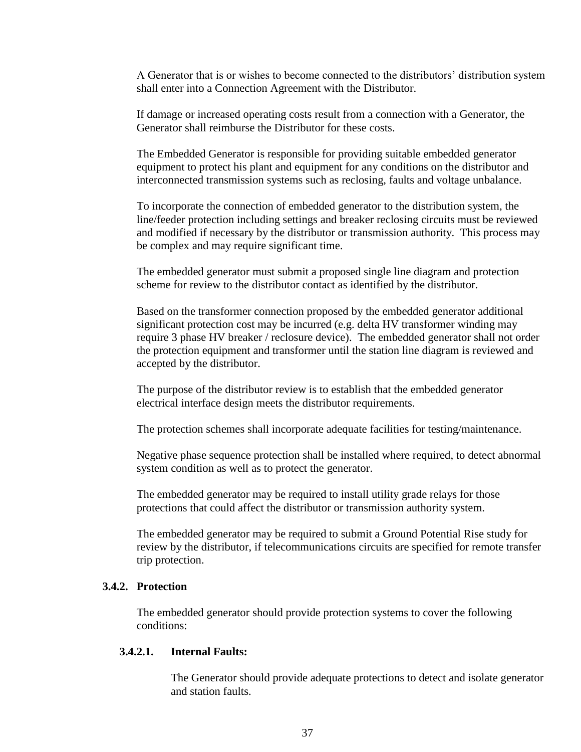A Generator that is or wishes to become connected to the distributors' distribution system shall enter into a Connection Agreement with the Distributor.

If damage or increased operating costs result from a connection with a Generator, the Generator shall reimburse the Distributor for these costs.

The Embedded Generator is responsible for providing suitable embedded generator equipment to protect his plant and equipment for any conditions on the distributor and interconnected transmission systems such as reclosing, faults and voltage unbalance.

To incorporate the connection of embedded generator to the distribution system, the line/feeder protection including settings and breaker reclosing circuits must be reviewed and modified if necessary by the distributor or transmission authority. This process may be complex and may require significant time.

The embedded generator must submit a proposed single line diagram and protection scheme for review to the distributor contact as identified by the distributor.

Based on the transformer connection proposed by the embedded generator additional significant protection cost may be incurred (e.g. delta HV transformer winding may require 3 phase HV breaker / reclosure device). The embedded generator shall not order the protection equipment and transformer until the station line diagram is reviewed and accepted by the distributor.

The purpose of the distributor review is to establish that the embedded generator electrical interface design meets the distributor requirements.

The protection schemes shall incorporate adequate facilities for testing/maintenance.

Negative phase sequence protection shall be installed where required, to detect abnormal system condition as well as to protect the generator.

The embedded generator may be required to install utility grade relays for those protections that could affect the distributor or transmission authority system.

The embedded generator may be required to submit a Ground Potential Rise study for review by the distributor, if telecommunications circuits are specified for remote transfer trip protection.

#### **3.4.2. Protection**

The embedded generator should provide protection systems to cover the following conditions:

#### **3.4.2.1. Internal Faults:**

The Generator should provide adequate protections to detect and isolate generator and station faults.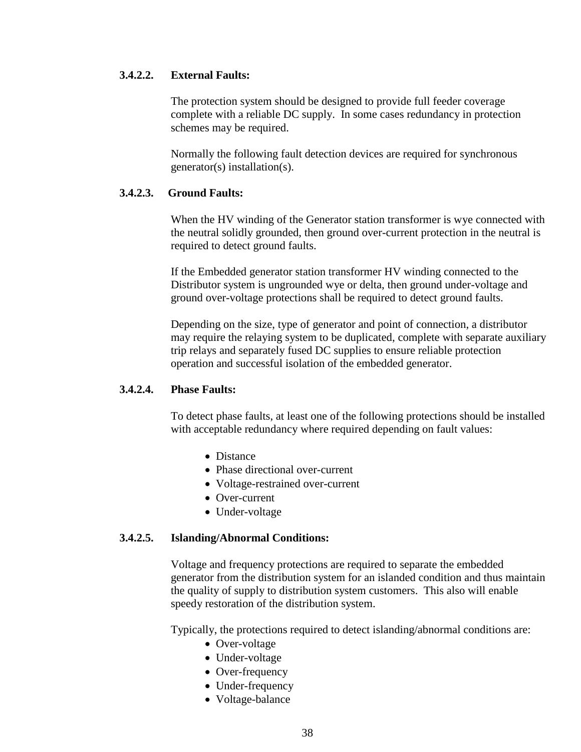#### **3.4.2.2. External Faults:**

The protection system should be designed to provide full feeder coverage complete with a reliable DC supply. In some cases redundancy in protection schemes may be required.

Normally the following fault detection devices are required for synchronous generator(s) installation(s).

#### **3.4.2.3. Ground Faults:**

When the HV winding of the Generator station transformer is wye connected with the neutral solidly grounded, then ground over-current protection in the neutral is required to detect ground faults.

If the Embedded generator station transformer HV winding connected to the Distributor system is ungrounded wye or delta, then ground under-voltage and ground over-voltage protections shall be required to detect ground faults.

Depending on the size, type of generator and point of connection, a distributor may require the relaying system to be duplicated, complete with separate auxiliary trip relays and separately fused DC supplies to ensure reliable protection operation and successful isolation of the embedded generator.

#### **3.4.2.4. Phase Faults:**

To detect phase faults, at least one of the following protections should be installed with acceptable redundancy where required depending on fault values:

- Distance
- Phase directional over-current
- Voltage-restrained over-current
- Over-current
- Under-voltage

#### **3.4.2.5. Islanding/Abnormal Conditions:**

Voltage and frequency protections are required to separate the embedded generator from the distribution system for an islanded condition and thus maintain the quality of supply to distribution system customers. This also will enable speedy restoration of the distribution system.

Typically, the protections required to detect islanding/abnormal conditions are:

- Over-voltage
- Under-voltage
- Over-frequency
- Under-frequency
- Voltage-balance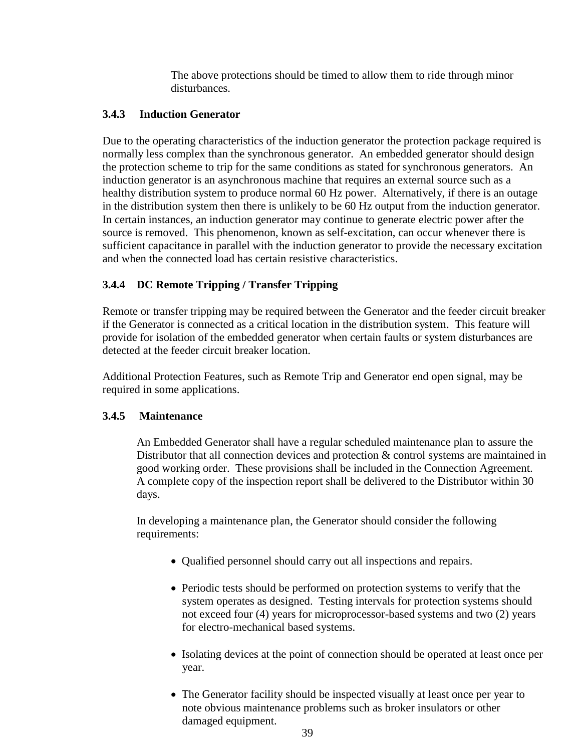The above protections should be timed to allow them to ride through minor disturbances.

## **3.4.3 Induction Generator**

Due to the operating characteristics of the induction generator the protection package required is normally less complex than the synchronous generator. An embedded generator should design the protection scheme to trip for the same conditions as stated for synchronous generators. An induction generator is an asynchronous machine that requires an external source such as a healthy distribution system to produce normal 60 Hz power. Alternatively, if there is an outage in the distribution system then there is unlikely to be 60 Hz output from the induction generator. In certain instances, an induction generator may continue to generate electric power after the source is removed. This phenomenon, known as self-excitation, can occur whenever there is sufficient capacitance in parallel with the induction generator to provide the necessary excitation and when the connected load has certain resistive characteristics.

## **3.4.4 DC Remote Tripping / Transfer Tripping**

Remote or transfer tripping may be required between the Generator and the feeder circuit breaker if the Generator is connected as a critical location in the distribution system. This feature will provide for isolation of the embedded generator when certain faults or system disturbances are detected at the feeder circuit breaker location.

Additional Protection Features, such as Remote Trip and Generator end open signal, may be required in some applications.

#### **3.4.5 Maintenance**

An Embedded Generator shall have a regular scheduled maintenance plan to assure the Distributor that all connection devices and protection & control systems are maintained in good working order. These provisions shall be included in the Connection Agreement. A complete copy of the inspection report shall be delivered to the Distributor within 30 days.

In developing a maintenance plan, the Generator should consider the following requirements:

- Qualified personnel should carry out all inspections and repairs.
- Periodic tests should be performed on protection systems to verify that the system operates as designed. Testing intervals for protection systems should not exceed four (4) years for microprocessor-based systems and two (2) years for electro-mechanical based systems.
- Isolating devices at the point of connection should be operated at least once per year.
- The Generator facility should be inspected visually at least once per year to note obvious maintenance problems such as broker insulators or other damaged equipment.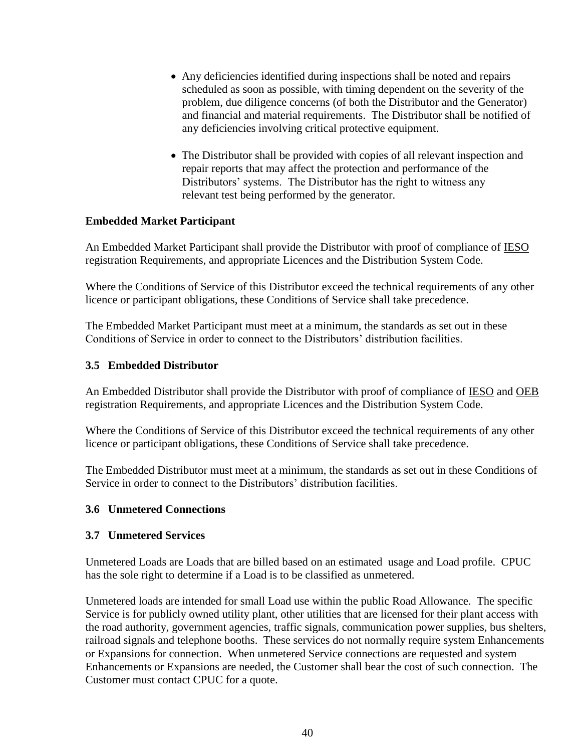- Any deficiencies identified during inspections shall be noted and repairs scheduled as soon as possible, with timing dependent on the severity of the problem, due diligence concerns (of both the Distributor and the Generator) and financial and material requirements. The Distributor shall be notified of any deficiencies involving critical protective equipment.
- The Distributor shall be provided with copies of all relevant inspection and repair reports that may affect the protection and performance of the Distributors' systems. The Distributor has the right to witness any relevant test being performed by the generator.

#### **Embedded Market Participant**

An Embedded Market Participant shall provide the Distributor with proof of compliance of IESO registration Requirements, and appropriate Licences and the Distribution System Code.

Where the Conditions of Service of this Distributor exceed the technical requirements of any other licence or participant obligations, these Conditions of Service shall take precedence.

The Embedded Market Participant must meet at a minimum, the standards as set out in these Conditions of Service in order to connect to the Distributors' distribution facilities.

#### **3.5 Embedded Distributor**

An Embedded Distributor shall provide the Distributor with proof of compliance of IESO and OEB registration Requirements, and appropriate Licences and the Distribution System Code.

Where the Conditions of Service of this Distributor exceed the technical requirements of any other licence or participant obligations, these Conditions of Service shall take precedence.

The Embedded Distributor must meet at a minimum, the standards as set out in these Conditions of Service in order to connect to the Distributors' distribution facilities.

#### **3.6 Unmetered Connections**

#### **3.7 Unmetered Services**

Unmetered Loads are Loads that are billed based on an estimated usage and Load profile. CPUC has the sole right to determine if a Load is to be classified as unmetered.

Unmetered loads are intended for small Load use within the public Road Allowance. The specific Service is for publicly owned utility plant, other utilities that are licensed for their plant access with the road authority, government agencies, traffic signals, communication power supplies, bus shelters, railroad signals and telephone booths. These services do not normally require system Enhancements or Expansions for connection. When unmetered Service connections are requested and system Enhancements or Expansions are needed, the Customer shall bear the cost of such connection. The Customer must contact CPUC for a quote.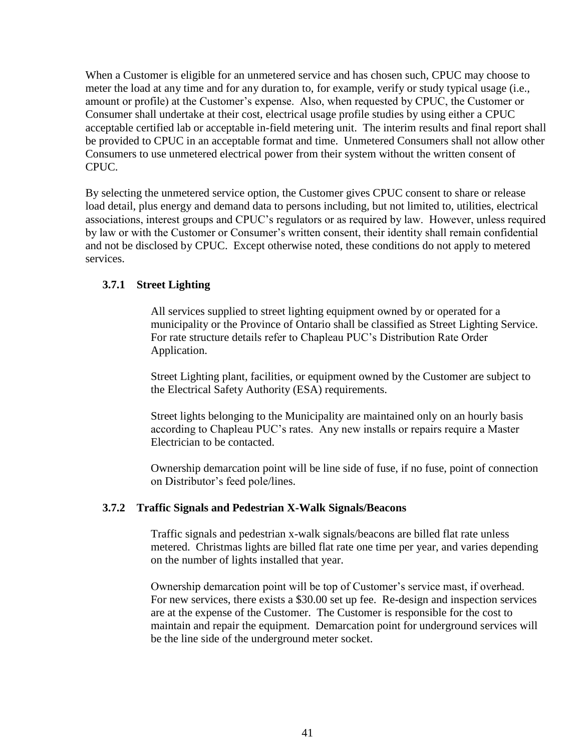When a Customer is eligible for an unmetered service and has chosen such, CPUC may choose to meter the load at any time and for any duration to, for example, verify or study typical usage (i.e., amount or profile) at the Customer's expense. Also, when requested by CPUC, the Customer or Consumer shall undertake at their cost, electrical usage profile studies by using either a CPUC acceptable certified lab or acceptable in-field metering unit. The interim results and final report shall be provided to CPUC in an acceptable format and time. Unmetered Consumers shall not allow other Consumers to use unmetered electrical power from their system without the written consent of CPUC.

By selecting the unmetered service option, the Customer gives CPUC consent to share or release load detail, plus energy and demand data to persons including, but not limited to, utilities, electrical associations, interest groups and CPUC's regulators or as required by law. However, unless required by law or with the Customer or Consumer's written consent, their identity shall remain confidential and not be disclosed by CPUC. Except otherwise noted, these conditions do not apply to metered services.

#### **3.7.1 Street Lighting**

All services supplied to street lighting equipment owned by or operated for a municipality or the Province of Ontario shall be classified as Street Lighting Service. For rate structure details refer to Chapleau PUC's Distribution Rate Order Application.

Street Lighting plant, facilities, or equipment owned by the Customer are subject to the Electrical Safety Authority (ESA) requirements.

Street lights belonging to the Municipality are maintained only on an hourly basis according to Chapleau PUC's rates. Any new installs or repairs require a Master Electrician to be contacted.

Ownership demarcation point will be line side of fuse, if no fuse, point of connection on Distributor's feed pole/lines.

#### **3.7.2 Traffic Signals and Pedestrian X-Walk Signals/Beacons**

Traffic signals and pedestrian x-walk signals/beacons are billed flat rate unless metered. Christmas lights are billed flat rate one time per year, and varies depending on the number of lights installed that year.

Ownership demarcation point will be top of Customer's service mast, if overhead. For new services, there exists a \$30.00 set up fee. Re-design and inspection services are at the expense of the Customer. The Customer is responsible for the cost to maintain and repair the equipment. Demarcation point for underground services will be the line side of the underground meter socket.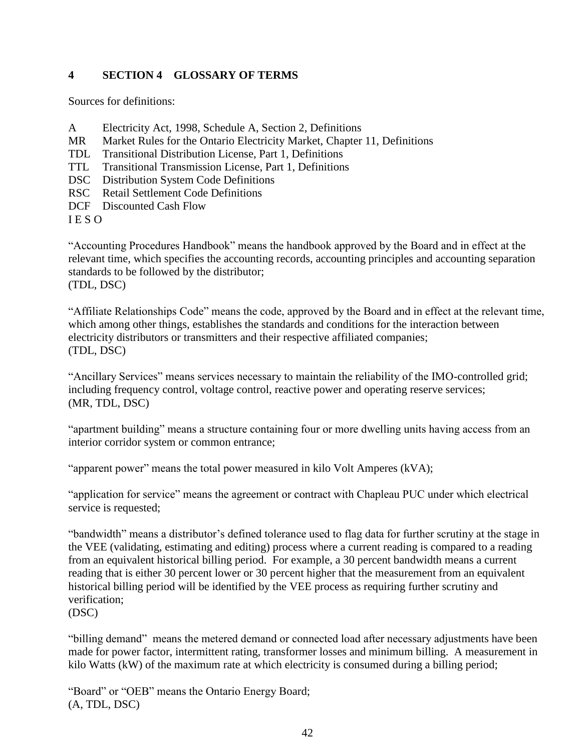## **4 SECTION 4 GLOSSARY OF TERMS**

Sources for definitions:

- A Electricity Act, 1998, Schedule A, Section 2, Definitions
- MR Market Rules for the Ontario Electricity Market, Chapter 11, Definitions
- TDL Transitional Distribution License, Part 1, Definitions
- TTL Transitional Transmission License, Part 1, Definitions
- DSC Distribution System Code Definitions
- RSC Retail Settlement Code Definitions
- DCF Discounted Cash Flow

I E S O

"Accounting Procedures Handbook" means the handbook approved by the Board and in effect at the relevant time, which specifies the accounting records, accounting principles and accounting separation standards to be followed by the distributor; (TDL, DSC)

"Affiliate Relationships Code" means the code, approved by the Board and in effect at the relevant time, which among other things, establishes the standards and conditions for the interaction between electricity distributors or transmitters and their respective affiliated companies; (TDL, DSC)

"Ancillary Services" means services necessary to maintain the reliability of the IMO-controlled grid; including frequency control, voltage control, reactive power and operating reserve services; (MR, TDL, DSC)

"apartment building" means a structure containing four or more dwelling units having access from an interior corridor system or common entrance;

"apparent power" means the total power measured in kilo Volt Amperes (kVA);

"application for service" means the agreement or contract with Chapleau PUC under which electrical service is requested;

"bandwidth" means a distributor's defined tolerance used to flag data for further scrutiny at the stage in the VEE (validating, estimating and editing) process where a current reading is compared to a reading from an equivalent historical billing period. For example, a 30 percent bandwidth means a current reading that is either 30 percent lower or 30 percent higher that the measurement from an equivalent historical billing period will be identified by the VEE process as requiring further scrutiny and verification;

(DSC)

"billing demand" means the metered demand or connected load after necessary adjustments have been made for power factor, intermittent rating, transformer losses and minimum billing. A measurement in kilo Watts (kW) of the maximum rate at which electricity is consumed during a billing period;

"Board" or "OEB" means the Ontario Energy Board; (A, TDL, DSC)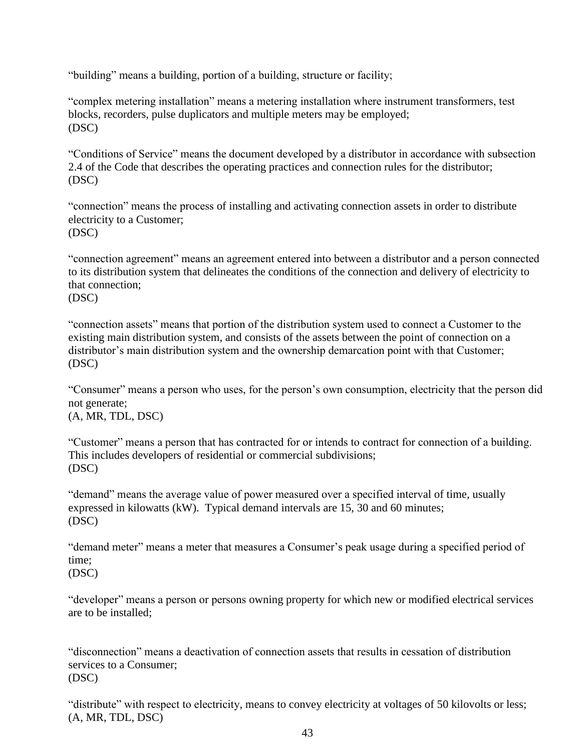"building" means a building, portion of a building, structure or facility;

"complex metering installation" means a metering installation where instrument transformers, test blocks, recorders, pulse duplicators and multiple meters may be employed; (DSC)

"Conditions of Service" means the document developed by a distributor in accordance with subsection 2.4 of the Code that describes the operating practices and connection rules for the distributor; (DSC)

"connection" means the process of installing and activating connection assets in order to distribute electricity to a Customer; (DSC)

"connection agreement" means an agreement entered into between a distributor and a person connected to its distribution system that delineates the conditions of the connection and delivery of electricity to that connection;

(DSC)

"connection assets" means that portion of the distribution system used to connect a Customer to the existing main distribution system, and consists of the assets between the point of connection on a distributor's main distribution system and the ownership demarcation point with that Customer; (DSC)

"Consumer" means a person who uses, for the person's own consumption, electricity that the person did not generate; (A, MR, TDL, DSC)

"Customer" means a person that has contracted for or intends to contract for connection of a building. This includes developers of residential or commercial subdivisions; (DSC)

"demand" means the average value of power measured over a specified interval of time, usually expressed in kilowatts (kW). Typical demand intervals are 15, 30 and 60 minutes; (DSC)

"demand meter" means a meter that measures a Consumer's peak usage during a specified period of time;

"developer" means a person or persons owning property for which new or modified electrical services are to be installed;

"disconnection" means a deactivation of connection assets that results in cessation of distribution services to a Consumer; (DSC)

"distribute" with respect to electricity, means to convey electricity at voltages of 50 kilovolts or less; (A, MR, TDL, DSC)

<sup>(</sup>DSC)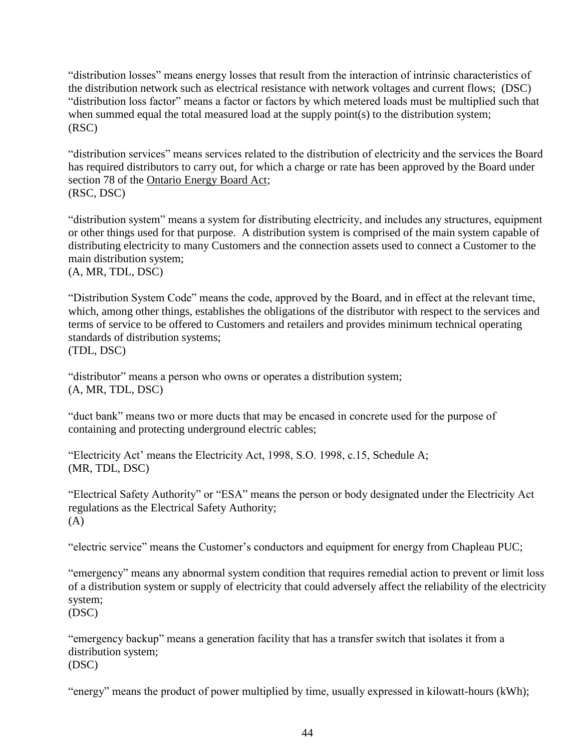"distribution losses" means energy losses that result from the interaction of intrinsic characteristics of the distribution network such as electrical resistance with network voltages and current flows; (DSC) "distribution loss factor" means a factor or factors by which metered loads must be multiplied such that when summed equal the total measured load at the supply point(s) to the distribution system; (RSC)

"distribution services" means services related to the distribution of electricity and the services the Board has required distributors to carry out, for which a charge or rate has been approved by the Board under section 78 of the Ontario Energy Board Act; (RSC, DSC)

"distribution system" means a system for distributing electricity, and includes any structures, equipment or other things used for that purpose. A distribution system is comprised of the main system capable of distributing electricity to many Customers and the connection assets used to connect a Customer to the main distribution system;

(A, MR, TDL, DSC)

"Distribution System Code" means the code, approved by the Board, and in effect at the relevant time, which, among other things, establishes the obligations of the distributor with respect to the services and terms of service to be offered to Customers and retailers and provides minimum technical operating standards of distribution systems; (TDL, DSC)

"distributor" means a person who owns or operates a distribution system; (A, MR, TDL, DSC)

"duct bank" means two or more ducts that may be encased in concrete used for the purpose of containing and protecting underground electric cables;

"Electricity Act' means the Electricity Act, 1998, S.O. 1998, c.15, Schedule A; (MR, TDL, DSC)

"Electrical Safety Authority" or "ESA" means the person or body designated under the Electricity Act regulations as the Electrical Safety Authority; (A)

"electric service" means the Customer's conductors and equipment for energy from Chapleau PUC;

"emergency" means any abnormal system condition that requires remedial action to prevent or limit loss of a distribution system or supply of electricity that could adversely affect the reliability of the electricity system;

(DSC)

"emergency backup" means a generation facility that has a transfer switch that isolates it from a distribution system; (DSC)

"energy" means the product of power multiplied by time, usually expressed in kilowatt-hours (kWh);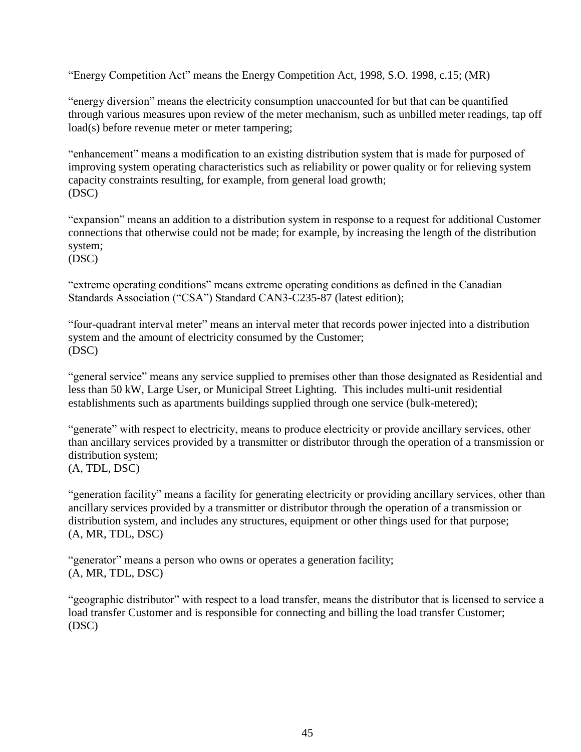"Energy Competition Act" means the Energy Competition Act, 1998, S.O. 1998, c.15; (MR)

"energy diversion" means the electricity consumption unaccounted for but that can be quantified through various measures upon review of the meter mechanism, such as unbilled meter readings, tap off load(s) before revenue meter or meter tampering;

"enhancement" means a modification to an existing distribution system that is made for purposed of improving system operating characteristics such as reliability or power quality or for relieving system capacity constraints resulting, for example, from general load growth; (DSC)

"expansion" means an addition to a distribution system in response to a request for additional Customer connections that otherwise could not be made; for example, by increasing the length of the distribution system;

(DSC)

"extreme operating conditions" means extreme operating conditions as defined in the Canadian Standards Association ("CSA") Standard CAN3-C235-87 (latest edition);

"four-quadrant interval meter" means an interval meter that records power injected into a distribution system and the amount of electricity consumed by the Customer; (DSC)

"general service" means any service supplied to premises other than those designated as Residential and less than 50 kW, Large User, or Municipal Street Lighting. This includes multi-unit residential establishments such as apartments buildings supplied through one service (bulk-metered);

"generate" with respect to electricity, means to produce electricity or provide ancillary services, other than ancillary services provided by a transmitter or distributor through the operation of a transmission or distribution system;

(A, TDL, DSC)

"generation facility" means a facility for generating electricity or providing ancillary services, other than ancillary services provided by a transmitter or distributor through the operation of a transmission or distribution system, and includes any structures, equipment or other things used for that purpose; (A, MR, TDL, DSC)

"generator" means a person who owns or operates a generation facility; (A, MR, TDL, DSC)

"geographic distributor" with respect to a load transfer, means the distributor that is licensed to service a load transfer Customer and is responsible for connecting and billing the load transfer Customer; (DSC)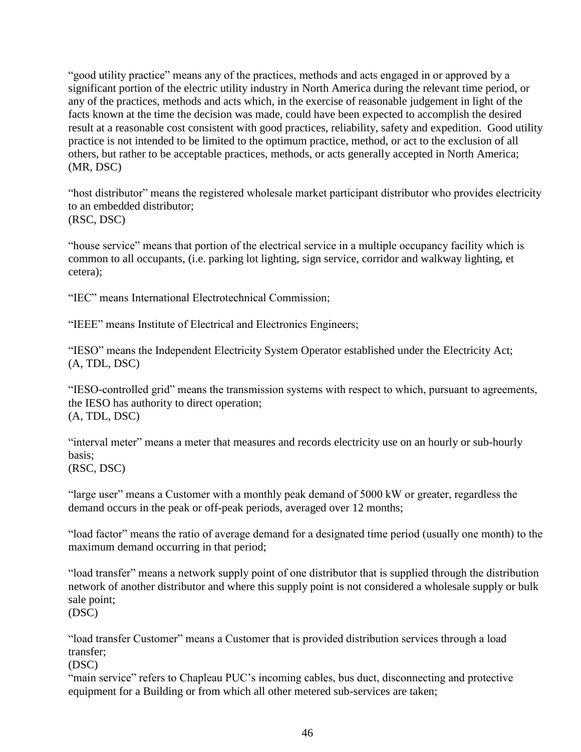"good utility practice" means any of the practices, methods and acts engaged in or approved by a significant portion of the electric utility industry in North America during the relevant time period, or any of the practices, methods and acts which, in the exercise of reasonable judgement in light of the facts known at the time the decision was made, could have been expected to accomplish the desired result at a reasonable cost consistent with good practices, reliability, safety and expedition. Good utility practice is not intended to be limited to the optimum practice, method, or act to the exclusion of all others, but rather to be acceptable practices, methods, or acts generally accepted in North America; (MR, DSC)

"host distributor" means the registered wholesale market participant distributor who provides electricity to an embedded distributor; (RSC, DSC)

"house service" means that portion of the electrical service in a multiple occupancy facility which is common to all occupants, (i.e. parking lot lighting, sign service, corridor and walkway lighting, et cetera);

"IEC" means International Electrotechnical Commission;

"IEEE" means Institute of Electrical and Electronics Engineers;

"IESO" means the Independent Electricity System Operator established under the Electricity Act; (A, TDL, DSC)

"IESO-controlled grid" means the transmission systems with respect to which, pursuant to agreements, the IESO has authority to direct operation; (A, TDL, DSC)

"interval meter" means a meter that measures and records electricity use on an hourly or sub-hourly basis; (RSC, DSC)

"large user" means a Customer with a monthly peak demand of 5000 kW or greater, regardless the demand occurs in the peak or off-peak periods, averaged over 12 months;

"load factor" means the ratio of average demand for a designated time period (usually one month) to the maximum demand occurring in that period;

"load transfer" means a network supply point of one distributor that is supplied through the distribution network of another distributor and where this supply point is not considered a wholesale supply or bulk sale point;

(DSC)

"load transfer Customer" means a Customer that is provided distribution services through a load transfer;

(DSC)

"main service" refers to Chapleau PUC's incoming cables, bus duct, disconnecting and protective equipment for a Building or from which all other metered sub-services are taken;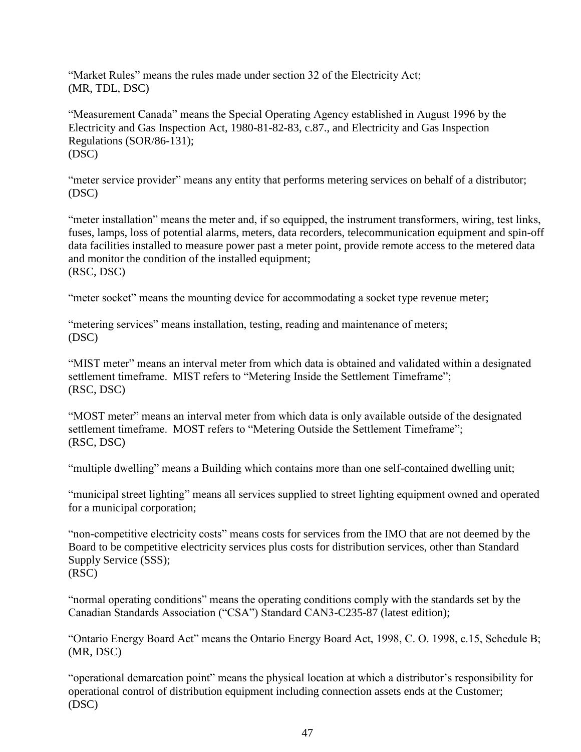"Market Rules" means the rules made under section 32 of the Electricity Act; (MR, TDL, DSC)

"Measurement Canada" means the Special Operating Agency established in August 1996 by the Electricity and Gas Inspection Act, 1980-81-82-83, c.87., and Electricity and Gas Inspection Regulations (SOR/86-131); (DSC)

"meter service provider" means any entity that performs metering services on behalf of a distributor; (DSC)

"meter installation" means the meter and, if so equipped, the instrument transformers, wiring, test links, fuses, lamps, loss of potential alarms, meters, data recorders, telecommunication equipment and spin-off data facilities installed to measure power past a meter point, provide remote access to the metered data and monitor the condition of the installed equipment; (RSC, DSC)

"meter socket" means the mounting device for accommodating a socket type revenue meter;

"metering services" means installation, testing, reading and maintenance of meters; (DSC)

"MIST meter" means an interval meter from which data is obtained and validated within a designated settlement timeframe. MIST refers to "Metering Inside the Settlement Timeframe"; (RSC, DSC)

"MOST meter" means an interval meter from which data is only available outside of the designated settlement timeframe. MOST refers to "Metering Outside the Settlement Timeframe"; (RSC, DSC)

"multiple dwelling" means a Building which contains more than one self-contained dwelling unit;

"municipal street lighting" means all services supplied to street lighting equipment owned and operated for a municipal corporation;

"non-competitive electricity costs" means costs for services from the IMO that are not deemed by the Board to be competitive electricity services plus costs for distribution services, other than Standard Supply Service (SSS); (RSC)

"normal operating conditions" means the operating conditions comply with the standards set by the Canadian Standards Association ("CSA") Standard CAN3-C235-87 (latest edition);

"Ontario Energy Board Act" means the Ontario Energy Board Act, 1998, C. O. 1998, c.15, Schedule B; (MR, DSC)

"operational demarcation point" means the physical location at which a distributor's responsibility for operational control of distribution equipment including connection assets ends at the Customer; (DSC)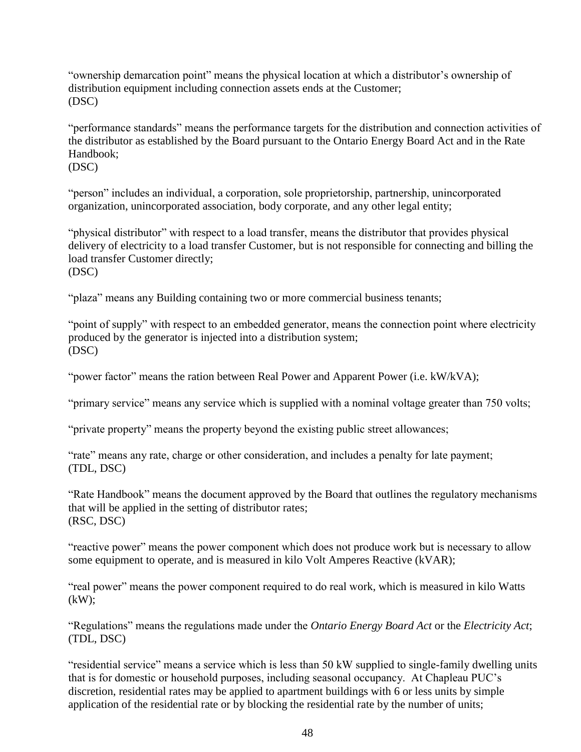"ownership demarcation point" means the physical location at which a distributor's ownership of distribution equipment including connection assets ends at the Customer; (DSC)

"performance standards" means the performance targets for the distribution and connection activities of the distributor as established by the Board pursuant to the Ontario Energy Board Act and in the Rate Handbook;

(DSC)

"person" includes an individual, a corporation, sole proprietorship, partnership, unincorporated organization, unincorporated association, body corporate, and any other legal entity;

"physical distributor" with respect to a load transfer, means the distributor that provides physical delivery of electricity to a load transfer Customer, but is not responsible for connecting and billing the load transfer Customer directly; (DSC)

"plaza" means any Building containing two or more commercial business tenants;

"point of supply" with respect to an embedded generator, means the connection point where electricity produced by the generator is injected into a distribution system; (DSC)

"power factor" means the ration between Real Power and Apparent Power (i.e. kW/kVA);

"primary service" means any service which is supplied with a nominal voltage greater than 750 volts;

"private property" means the property beyond the existing public street allowances;

"rate" means any rate, charge or other consideration, and includes a penalty for late payment; (TDL, DSC)

"Rate Handbook" means the document approved by the Board that outlines the regulatory mechanisms that will be applied in the setting of distributor rates; (RSC, DSC)

"reactive power" means the power component which does not produce work but is necessary to allow some equipment to operate, and is measured in kilo Volt Amperes Reactive (kVAR);

"real power" means the power component required to do real work, which is measured in kilo Watts  $(kW)$ ;

"Regulations" means the regulations made under the *Ontario Energy Board Act* or the *Electricity Act*; (TDL, DSC)

"residential service" means a service which is less than 50 kW supplied to single-family dwelling units that is for domestic or household purposes, including seasonal occupancy. At Chapleau PUC's discretion, residential rates may be applied to apartment buildings with 6 or less units by simple application of the residential rate or by blocking the residential rate by the number of units;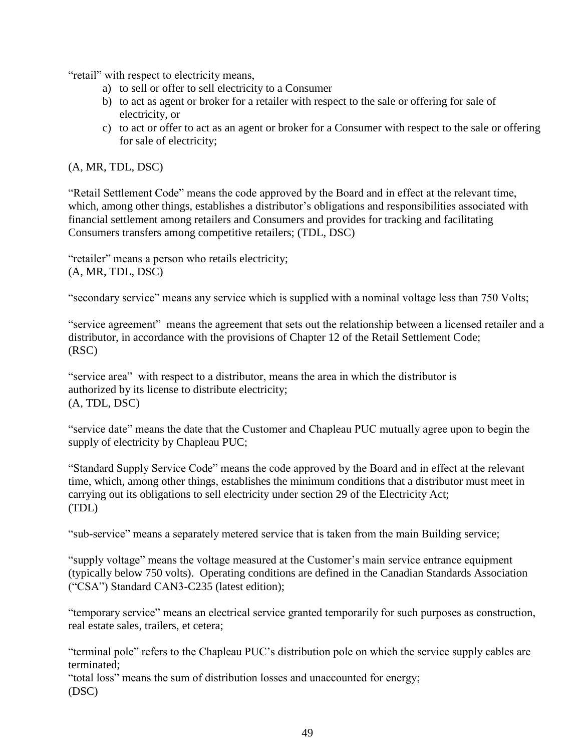"retail" with respect to electricity means,

- a) to sell or offer to sell electricity to a Consumer
- b) to act as agent or broker for a retailer with respect to the sale or offering for sale of electricity, or
- c) to act or offer to act as an agent or broker for a Consumer with respect to the sale or offering for sale of electricity;

#### (A, MR, TDL, DSC)

"Retail Settlement Code" means the code approved by the Board and in effect at the relevant time, which, among other things, establishes a distributor's obligations and responsibilities associated with financial settlement among retailers and Consumers and provides for tracking and facilitating Consumers transfers among competitive retailers; (TDL, DSC)

"retailer" means a person who retails electricity; (A, MR, TDL, DSC)

"secondary service" means any service which is supplied with a nominal voltage less than 750 Volts;

"service agreement" means the agreement that sets out the relationship between a licensed retailer and a distributor, in accordance with the provisions of Chapter 12 of the Retail Settlement Code; (RSC)

"service area" with respect to a distributor, means the area in which the distributor is authorized by its license to distribute electricity; (A, TDL, DSC)

"service date" means the date that the Customer and Chapleau PUC mutually agree upon to begin the supply of electricity by Chapleau PUC;

"Standard Supply Service Code" means the code approved by the Board and in effect at the relevant time, which, among other things, establishes the minimum conditions that a distributor must meet in carrying out its obligations to sell electricity under section 29 of the Electricity Act; (TDL)

"sub-service" means a separately metered service that is taken from the main Building service;

"supply voltage" means the voltage measured at the Customer's main service entrance equipment (typically below 750 volts). Operating conditions are defined in the Canadian Standards Association ("CSA") Standard CAN3-C235 (latest edition);

"temporary service" means an electrical service granted temporarily for such purposes as construction, real estate sales, trailers, et cetera;

"terminal pole" refers to the Chapleau PUC's distribution pole on which the service supply cables are terminated;

"total loss" means the sum of distribution losses and unaccounted for energy; (DSC)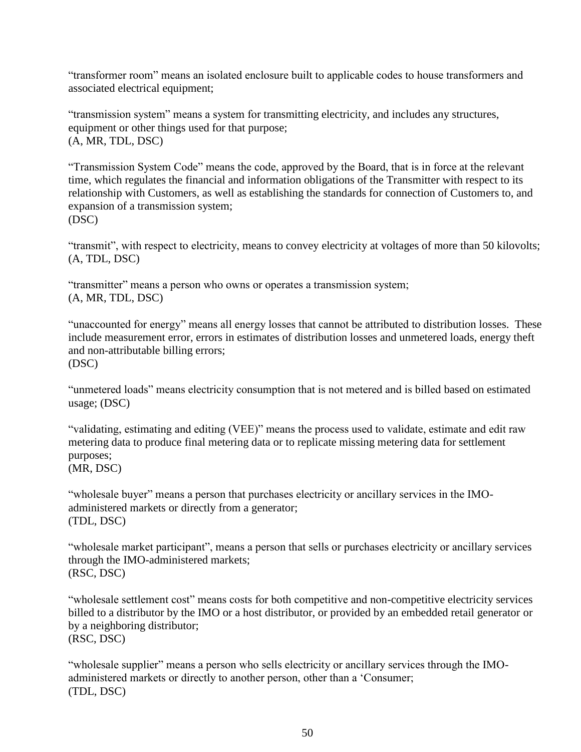"transformer room" means an isolated enclosure built to applicable codes to house transformers and associated electrical equipment;

"transmission system" means a system for transmitting electricity, and includes any structures, equipment or other things used for that purpose; (A, MR, TDL, DSC)

"Transmission System Code" means the code, approved by the Board, that is in force at the relevant time, which regulates the financial and information obligations of the Transmitter with respect to its relationship with Customers, as well as establishing the standards for connection of Customers to, and expansion of a transmission system; (DSC)

"transmit", with respect to electricity, means to convey electricity at voltages of more than 50 kilovolts; (A, TDL, DSC)

"transmitter" means a person who owns or operates a transmission system; (A, MR, TDL, DSC)

"unaccounted for energy" means all energy losses that cannot be attributed to distribution losses. These include measurement error, errors in estimates of distribution losses and unmetered loads, energy theft and non-attributable billing errors; (DSC)

"unmetered loads" means electricity consumption that is not metered and is billed based on estimated usage; (DSC)

"validating, estimating and editing (VEE)" means the process used to validate, estimate and edit raw metering data to produce final metering data or to replicate missing metering data for settlement purposes; (MR, DSC)

"wholesale buyer" means a person that purchases electricity or ancillary services in the IMOadministered markets or directly from a generator; (TDL, DSC)

"wholesale market participant", means a person that sells or purchases electricity or ancillary services through the IMO-administered markets; (RSC, DSC)

"wholesale settlement cost" means costs for both competitive and non-competitive electricity services billed to a distributor by the IMO or a host distributor, or provided by an embedded retail generator or by a neighboring distributor; (RSC, DSC)

"wholesale supplier" means a person who sells electricity or ancillary services through the IMOadministered markets or directly to another person, other than a 'Consumer; (TDL, DSC)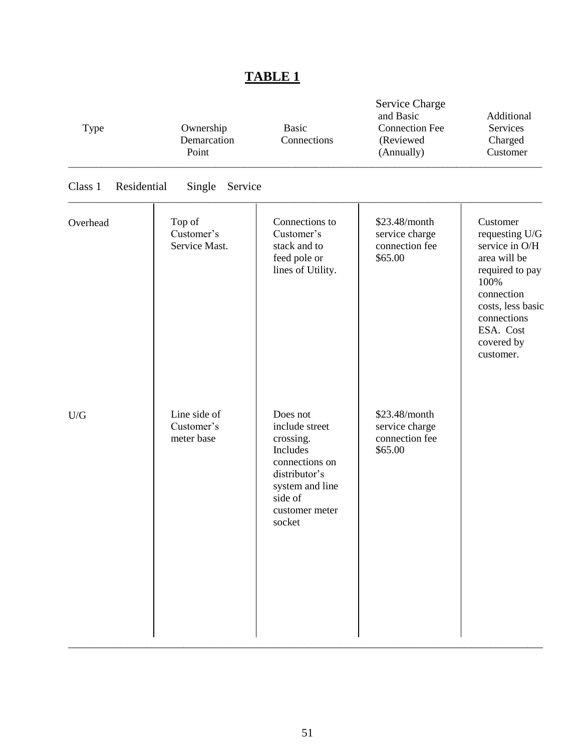| Type                   | Ownership<br>Demarcation<br>Point        | <b>Basic</b><br>Connections                                                                                                                      | <b>Service Charge</b><br>and Basic<br><b>Connection Fee</b><br>(Reviewed<br>(Annually) | Additional<br><b>Services</b><br>Charged<br>Customer                                                                                                                              |
|------------------------|------------------------------------------|--------------------------------------------------------------------------------------------------------------------------------------------------|----------------------------------------------------------------------------------------|-----------------------------------------------------------------------------------------------------------------------------------------------------------------------------------|
| Class 1<br>Residential | Single<br>Service                        |                                                                                                                                                  |                                                                                        |                                                                                                                                                                                   |
| Overhead               | Top of<br>Customer's<br>Service Mast.    | Connections to<br>Customer's<br>stack and to<br>feed pole or<br>lines of Utility.                                                                | \$23.48/month<br>service charge<br>connection fee<br>\$65.00                           | Customer<br>requesting U/G<br>service in O/H<br>area will be<br>required to pay<br>100%<br>connection<br>costs, less basic<br>connections<br>ESA. Cost<br>covered by<br>customer. |
| U/G                    | Line side of<br>Customer's<br>meter base | Does not<br>include street<br>crossing.<br>Includes<br>connections on<br>distributor's<br>system and line<br>side of<br>customer meter<br>socket | \$23.48/month<br>service charge<br>connection fee<br>\$65.00                           |                                                                                                                                                                                   |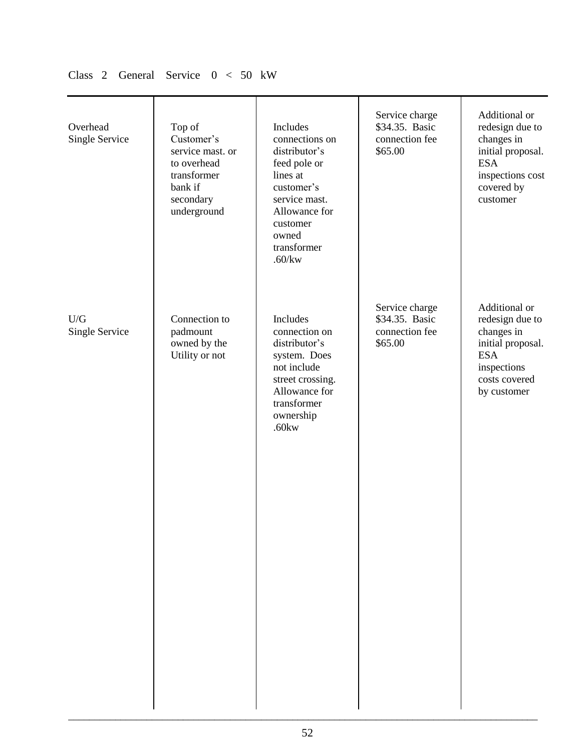| Overhead<br>Single Service | Top of<br>Customer's<br>service mast. or<br>to overhead<br>transformer<br>bank if<br>secondary<br>underground | Includes<br>connections on<br>distributor's<br>feed pole or<br>lines at<br>customer's<br>service mast.<br>Allowance for<br>customer<br>owned<br>transformer<br>$.60$ /kw | Service charge<br>\$34.35. Basic<br>connection fee<br>\$65.00 | Additional or<br>redesign due to<br>changes in<br>initial proposal.<br><b>ESA</b><br>inspections cost<br>covered by<br>customer  |
|----------------------------|---------------------------------------------------------------------------------------------------------------|--------------------------------------------------------------------------------------------------------------------------------------------------------------------------|---------------------------------------------------------------|----------------------------------------------------------------------------------------------------------------------------------|
| U/G<br>Single Service      | Connection to<br>padmount<br>owned by the<br>Utility or not                                                   | Includes<br>connection on<br>distributor's<br>system. Does<br>not include<br>street crossing.<br>Allowance for<br>transformer<br>ownership<br>$.60$ kw                   | Service charge<br>\$34.35. Basic<br>connection fee<br>\$65.00 | Additional or<br>redesign due to<br>changes in<br>initial proposal.<br><b>ESA</b><br>inspections<br>costs covered<br>by customer |

# Class 2 General Service 0 < 50 kW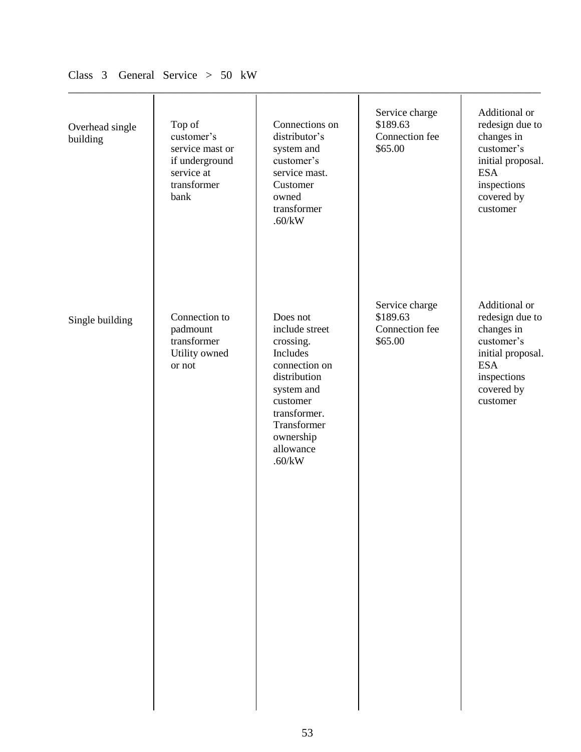| Overhead single<br>building | Top of<br>customer's<br>service mast or<br>if underground<br>service at<br>transformer<br>bank | Connections on<br>distributor's<br>system and<br>customer's<br>service mast.<br>Customer<br>owned<br>transformer<br>.60/kW                                                        | Service charge<br>\$189.63<br>Connection fee<br>\$65.00 | Additional or<br>redesign due to<br>changes in<br>customer's<br>initial proposal.<br><b>ESA</b><br>inspections<br>covered by<br>customer |
|-----------------------------|------------------------------------------------------------------------------------------------|-----------------------------------------------------------------------------------------------------------------------------------------------------------------------------------|---------------------------------------------------------|------------------------------------------------------------------------------------------------------------------------------------------|
| Single building             | Connection to<br>padmount<br>transformer<br>Utility owned<br>or not                            | Does not<br>include street<br>crossing.<br>Includes<br>connection on<br>distribution<br>system and<br>customer<br>transformer.<br>Transformer<br>ownership<br>allowance<br>.60/kW | Service charge<br>\$189.63<br>Connection fee<br>\$65.00 | Additional or<br>redesign due to<br>changes in<br>customer's<br>initial proposal.<br><b>ESA</b><br>inspections<br>covered by<br>customer |

## Class 3 General Service > 50 kW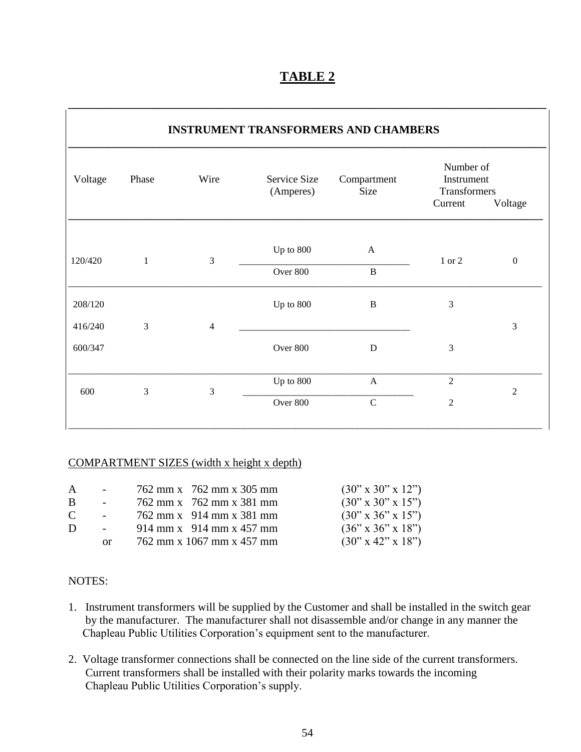| Voltage<br>Phase |          | Wire           | Service Size<br>(Amperes) | Compartment<br>Size | Number of<br>Instrument<br>Transformers |                  |
|------------------|----------|----------------|---------------------------|---------------------|-----------------------------------------|------------------|
|                  |          |                |                           | Current             | Voltage                                 |                  |
| 120/420          | 1        | 3              | Up to 800                 | $\mathbf{A}$        | 1 or 2                                  | $\boldsymbol{0}$ |
|                  |          | Over 800       | $\, {\bf B}$              |                     |                                         |                  |
| 208/120          |          |                | Up to 800                 | $\bf{B}$            | 3                                       |                  |
| 416/240          | 3        | $\overline{4}$ |                           |                     |                                         | 3                |
| 600/347          |          |                | Over 800                  | D                   | 3                                       |                  |
| 3<br>600<br>3    |          | Up to 800      | $\mathbf{A}$              | $\overline{2}$      | $\mathfrak{2}$                          |                  |
|                  | Over 800 | $\mathbf C$    | $\mathfrak{2}$            |                     |                                         |                  |

**\_\_\_\_\_\_\_\_\_\_\_\_\_\_\_\_\_\_\_\_\_\_\_\_\_\_\_\_\_\_\_\_\_\_\_\_\_\_\_\_\_\_\_\_\_\_\_\_\_\_\_\_\_\_\_\_\_\_\_\_\_\_\_\_\_\_\_\_\_\_\_\_\_\_\_\_\_\_\_\_\_\_\_\_**

#### COMPARTMENT SIZES (width x height x depth)

| $\mathsf{A}$ |     | 762 mm x 762 mm x 305 mm  | $(30" \times 30" \times 12")$    |
|--------------|-----|---------------------------|----------------------------------|
| <sup>B</sup> |     | 762 mm x 762 mm x 381 mm  | $(30" \times 30" \times 15")$    |
| C            |     | 762 mm x 914 mm x 381 mm  | $(30" \times 36" \times 15")$    |
| Ð            |     | 914 mm x 914 mm x 457 mm  | $(36" \times 36" \times 18")$    |
|              | 0r. | 762 mm x 1067 mm x 457 mm | $(30'' \times 42'' \times 18'')$ |

#### NOTES:

- 1. Instrument transformers will be supplied by the Customer and shall be installed in the switch gear by the manufacturer. The manufacturer shall not disassemble and/or change in any manner the Chapleau Public Utilities Corporation's equipment sent to the manufacturer.
- 2. Voltage transformer connections shall be connected on the line side of the current transformers. Current transformers shall be installed with their polarity marks towards the incoming Chapleau Public Utilities Corporation's supply.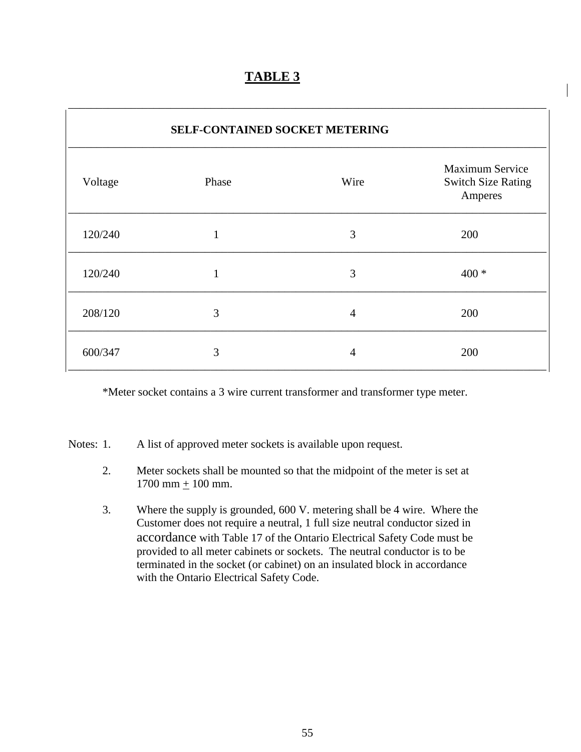| <b>SELF-CONTAINED SOCKET METERING</b> |              |                |                                                                |  |  |
|---------------------------------------|--------------|----------------|----------------------------------------------------------------|--|--|
| Voltage                               | Phase        | Wire           | <b>Maximum Service</b><br><b>Switch Size Rating</b><br>Amperes |  |  |
| 120/240                               |              | 3              | 200                                                            |  |  |
| 120/240                               | $\mathbf{1}$ | 3              | $400 *$                                                        |  |  |
| 208/120                               | 3            | $\overline{4}$ | 200                                                            |  |  |
| 600/347                               | 3            | $\overline{4}$ | 200                                                            |  |  |

\*Meter socket contains a 3 wire current transformer and transformer type meter.

Notes: 1. A list of approved meter sockets is available upon request.

- 2. Meter sockets shall be mounted so that the midpoint of the meter is set at 1700 mm  $+$  100 mm.
- 3. Where the supply is grounded, 600 V. metering shall be 4 wire. Where the Customer does not require a neutral, 1 full size neutral conductor sized in accordance with Table 17 of the Ontario Electrical Safety Code must be provided to all meter cabinets or sockets. The neutral conductor is to be terminated in the socket (or cabinet) on an insulated block in accordance with the Ontario Electrical Safety Code.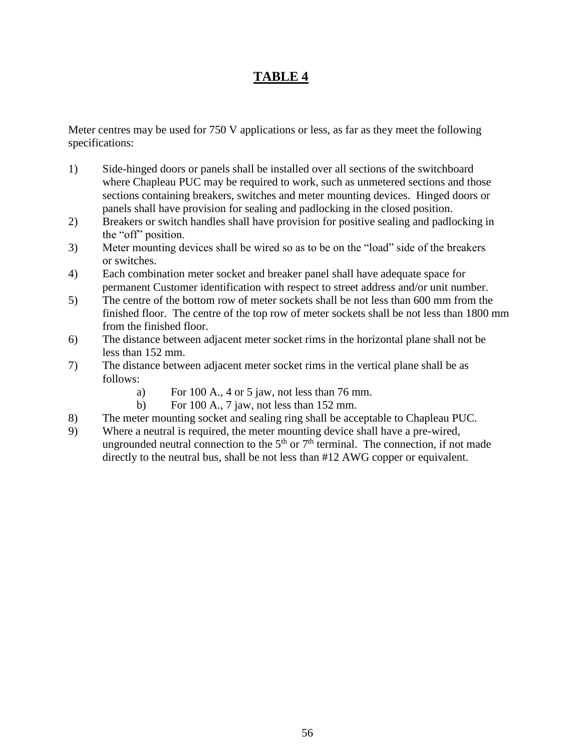Meter centres may be used for 750 V applications or less, as far as they meet the following specifications:

- 1) Side-hinged doors or panels shall be installed over all sections of the switchboard where Chapleau PUC may be required to work, such as unmetered sections and those sections containing breakers, switches and meter mounting devices. Hinged doors or panels shall have provision for sealing and padlocking in the closed position.
- 2) Breakers or switch handles shall have provision for positive sealing and padlocking in the "off" position.
- 3) Meter mounting devices shall be wired so as to be on the "load" side of the breakers or switches.
- 4) Each combination meter socket and breaker panel shall have adequate space for permanent Customer identification with respect to street address and/or unit number.
- 5) The centre of the bottom row of meter sockets shall be not less than 600 mm from the finished floor. The centre of the top row of meter sockets shall be not less than 1800 mm from the finished floor.
- 6) The distance between adjacent meter socket rims in the horizontal plane shall not be less than 152 mm.
- 7) The distance between adjacent meter socket rims in the vertical plane shall be as follows:
	- a) For 100 A., 4 or 5 jaw, not less than 76 mm.
	- b) For 100 A., 7 jaw, not less than 152 mm.
- 8) The meter mounting socket and sealing ring shall be acceptable to Chapleau PUC.
- 9) Where a neutral is required, the meter mounting device shall have a pre-wired, ungrounded neutral connection to the  $5<sup>th</sup>$  or  $7<sup>th</sup>$  terminal. The connection, if not made directly to the neutral bus, shall be not less than #12 AWG copper or equivalent.